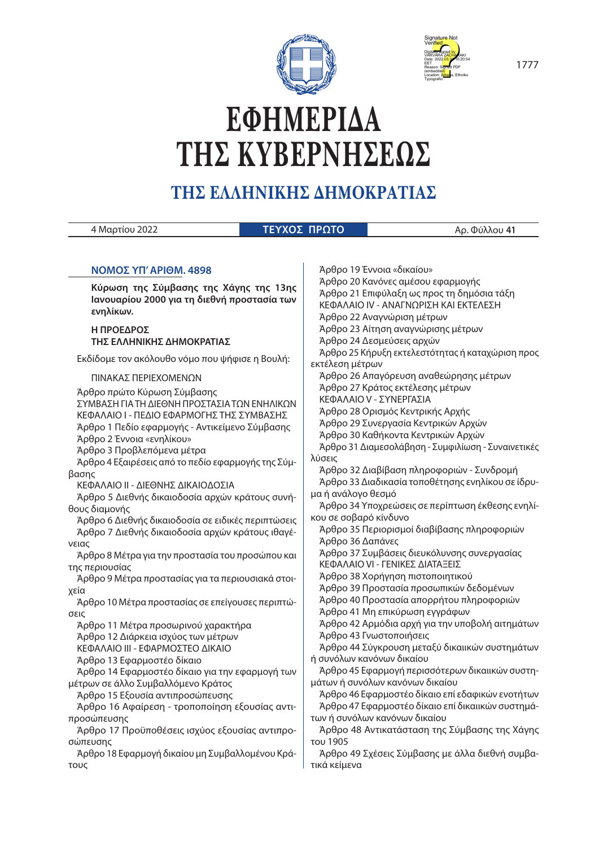



# **ΕΦΗΜΕΡΙ∆Α ΤΗΣ ΚΥΒΕΡΝΗΣΕΩΣ**

# **ΤΗΣ ΕΛΛΗΝΙΚΗΣ ∆ΗΜΟΚΡΑΤΙΑΣ**

| 4 Μαρτίου 2022                                                             | ΤΕΥΧΟΣ ΠΡΩΤΟ |                           | Αρ. Φύλλου 41                                      |  |
|----------------------------------------------------------------------------|--------------|---------------------------|----------------------------------------------------|--|
|                                                                            |              |                           |                                                    |  |
|                                                                            |              |                           |                                                    |  |
| ΝΟΜΟΣ ΥΠ' ΑΡΙΘΜ. 4898                                                      |              | Άρθρο 19 Έννοια «δικαίου» |                                                    |  |
| Κύρωση της Σύμβασης της Χάγης της 13ης                                     |              |                           | Άρθρο 20 Κανόνες αμέσου εφαρμογής                  |  |
| Ιανουαρίου 2000 για τη διεθνή προστασία των                                |              |                           | Άρθρο 21 Επιφύλαξη ως προς τη δημόσια τάξη         |  |
| ενηλίκων.                                                                  |              |                           | ΚΕΦΑΛΑΙΟ ΙV - ΑΝΑΓΝΩΡΙΣΗ ΚΑΙ ΕΚΤΕΛΕΣΗ              |  |
|                                                                            |              |                           | Άρθρο 22 Αναγνώριση μέτρων                         |  |
| Η ΠΡΟΕΔΡΟΣ                                                                 |              |                           | Άρθρο 23 Αίτηση αναγνώρισης μέτρων                 |  |
| ΤΗΣ ΕΛΛΗΝΙΚΗΣ ΔΗΜΟΚΡΑΤΙΑΣ                                                  |              |                           | Άρθρο 24 Δεσμεύσεις αρχών                          |  |
| Εκδίδομε τον ακόλουθο νόμο που ψήφισε η Βουλή:                             |              |                           | Άρθρο 25 Κήρυξη εκτελεστότητας ή καταχώριση προς   |  |
| ΠΙΝΑΚΑΣ ΠΕΡΙΕΧΟΜΕΝΩΝ                                                       |              | εκτέλεση μέτρων           | Άρθρο 26 Απαγόρευση αναθεώρησης μέτρων             |  |
|                                                                            |              |                           | Άρθρο 27 Κράτος εκτέλεσης μέτρων                   |  |
| Άρθρο πρώτο Κύρωση Σύμβασης                                                |              |                           | ΚΕΦΑΛΑΙΟ V - ΣΥΝΕΡΓΑΣΙΑ                            |  |
| ΣΥΜΒΑΣΗ ΓΙΑ ΤΗ ΔΙΕΘΝΗ ΠΡΟΣΤΑΣΙΑ ΤΩΝ ΕΝΗΛΙΚΩΝ                               |              |                           | Άρθρο 28 Ορισμός Κεντρικής Αρχής                   |  |
| ΚΕΦΑΛΑΙΟ Ι - ΠΕΔΙΟ ΕΦΑΡΜΟΓΗΣ ΤΗΣ ΣΥΜΒΑΣΗΣ                                  |              |                           | Άρθρο 29 Συνεργασία Κεντρικών Αρχών                |  |
| Άρθρο 1 Πεδίο εφαρμογής - Αντικείμενο Σύμβασης                             |              |                           | Άρθρο 30 Καθήκοντα Κεντρικών Αρχών                 |  |
| Άρθρο 2 Έννοια «ενηλίκου»                                                  |              |                           | Άρθρο 31 Διαμεσολάβηση - Συμφιλίωση - Συναινετικές |  |
| Άρθρο 3 Προβλεπόμενα μέτρα                                                 |              | λύσεις                    |                                                    |  |
| Άρθρο 4 Εξαιρέσεις από το πεδίο εφαρμογής της Σύμ-                         |              |                           | Άρθρο 32 Διαβίβαση πληροφοριών - Συνδρομή          |  |
| βασης                                                                      |              |                           | Άρθρο 33 Διαδικασία τοποθέτησης ενηλίκου σε ίδρυ-  |  |
| ΚΕΦΑΛΑΙΟ ΙΙ - ΔΙΕΘΝΗΣ ΔΙΚΑΙΟΔΟΣΙΑ                                          |              | μα ή ανάλογο θεσμό        |                                                    |  |
| Άρθρο 5 Διεθνής δικαιοδοσία αρχών κράτους συνή-                            |              |                           | Άρθρο 34 Υποχρεώσεις σε περίπτωση έκθεσης ενηλί-   |  |
| θους διαμονής                                                              |              | κου σε σοβαρό κίνδυνο     |                                                    |  |
| Άρθρο 6 Διεθνής δικαιοδοσία σε ειδικές περιπτώσεις                         |              |                           | Άρθρο 35 Περιορισμοί διαβίβασης πληροφοριών        |  |
| Άρθρο 7 Διεθνής δικαιοδοσία αρχών κράτους ιθαγέ-                           |              | Άρθρο 36 Δαπάνες          |                                                    |  |
| νειας                                                                      |              |                           | Άρθρο 37 Συμβάσεις διευκόλυνσης συνεργασίας        |  |
| Άρθρο 8 Μέτρα για την προστασία του προσώπου και                           |              |                           | ΚΕΦΑΛΑΙΟ VΙ - ΓΕΝΙΚΕΣ ΔΙΑΤΑΞΕΙΣ                    |  |
| της περιουσίας                                                             |              |                           | Άρθρο 38 Χορήγηση πιστοποιητικού                   |  |
| Άρθρο 9 Μέτρα προστασίας για τα περιουσιακά στοι-                          |              |                           | Άρθρο 39 Προστασία προσωπικών δεδομένων            |  |
| χεία                                                                       |              |                           | Άρθρο 40 Προστασία απορρήτου πληροφοριών           |  |
| Άρθρο 10 Μέτρα προστασίας σε επείγουσες περιπτώ-                           |              |                           | Άρθρο 41 Μη επικύρωση εγγράφων                     |  |
| σεις                                                                       |              |                           | Άρθρο 42 Αρμόδια αρχή για την υποβολή αιτημάτων    |  |
| Άρθρο 11 Μέτρα προσωρινού χαρακτήρα<br>Άρθρο 12 Διάρκεια ισχύος των μέτρων |              |                           | Άρθρο 43 Γνωστοποιήσεις                            |  |
| ΚΕΦΑΛΑΙΟ ΙΙΙ - ΕΦΑΡΜΟΣΤΕΟ ΔΙΚΑΙΟ                                           |              |                           | Άρθρο 44 Σύγκρουση μεταξύ δικαιικών συστημάτων     |  |
| Άρθρο 13 Εφαρμοστέο δίκαιο                                                 |              |                           | ή συνόλων κανόνων δικαίου                          |  |
|                                                                            |              |                           | Άρθρο 45 Εφαρμογή περισσότερων δικαιικών συστη-    |  |
| Άρθρο 14 Εφαρμοστέο δίκαιο για την εφαρμογή των                            |              |                           | μάτων ή συνόλων κανόνων δικαίου                    |  |
| μέτρων σε άλλο Συμβαλλόμενο Κράτος                                         |              |                           | Άρθρο 46 Εφαρμοστέο δίκαιο επί εδαφικών ενοτήτων   |  |
| Άρθρο 15 Εξουσία αντιπροσώπευσης                                           |              |                           | Άρθρο 47 Εφαρμοστέο δίκαιο επί δικαιικών συστημά-  |  |
| Άρθρο 16 Αφαίρεση - τροποποίηση εξουσίας αντι-                             |              |                           | των ή συνόλων κανόνων δικαίου                      |  |
| προσώπευσης<br>Άρθρο 17 Προϋποθέσεις ισχύος εξουσίας αντιπρο-              |              |                           | Άρθρο 48 Αντικατάσταση της Σύμβασης της Χάγης      |  |
| σώπευσης                                                                   |              | του 1905                  |                                                    |  |
|                                                                            |              |                           | Άρθρο 49 Σχέσεις Σύμβασης με άλλα διεθνή συμβα-    |  |
| Άρθρο 18 Εφαρμογή δικαίου μη Συμβαλλομένου Κρά-                            |              | τικά κείμενα              |                                                    |  |
| τους                                                                       |              |                           |                                                    |  |

1777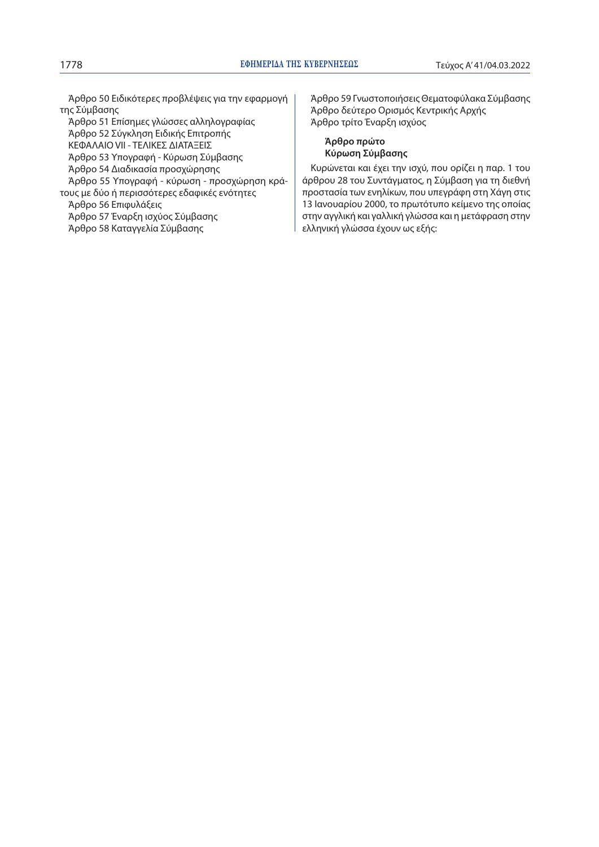Άρθρο 50 Ειδικότερες προβλέψεις για την εφαρμογή της Σύμβασης

Άρθρο 51 Επίσημες γλώσσες αλληλογραφίας Άρθρο 52 Σύγκληση Ειδικής Επιτροπής

ΚΕΦΑΛΑΙΟ VII - ΤΕΛΙΚΕΣ ΔΙΑΤΑΞΕΙΣ

Άρθρο 53 Υπογραφή - Κύρωση Σύμβασης

Άρθρο 54 Διαδικασία προσχώρησης

Άρθρο 55 Υπογραφή - κύρωση - προσχώρηση κράτους με δύο ή περισσότερες εδαφικές ενότητες

Άρθρο 56 Επιφυλάξεις

Άρθρο 57 Έναρξη ισχύος Σύμβασης

Άρθρο 58 Καταγγελία Σύμβασης

Άρθρο 59 Γνωστοποιήσεις Θεματοφύλακα Σύμβασης Άρθρο δεύτερο Ορισμός Κεντρικής Αρχής Άρθρο τρίτο Έναρξη ισχύος

# **Άρθρο πρώτο Κύρωση Σύμβασης**

Κυρώνεται και έχει την ισχύ, που ορίζει η παρ. 1 του άρθρου 28 του Συντάγματος, η Σύμβαση για τη διεθνή προστασία των ενηλίκων, που υπεγράφη στη Χάγη στις 13 Ιανουαρίου 2000, το πρωτότυπο κείμενο της οποίας στην αγγλική και γαλλική γλώσσα και η μετάφραση στην ελληνική γλώσσα έχουν ως εξής: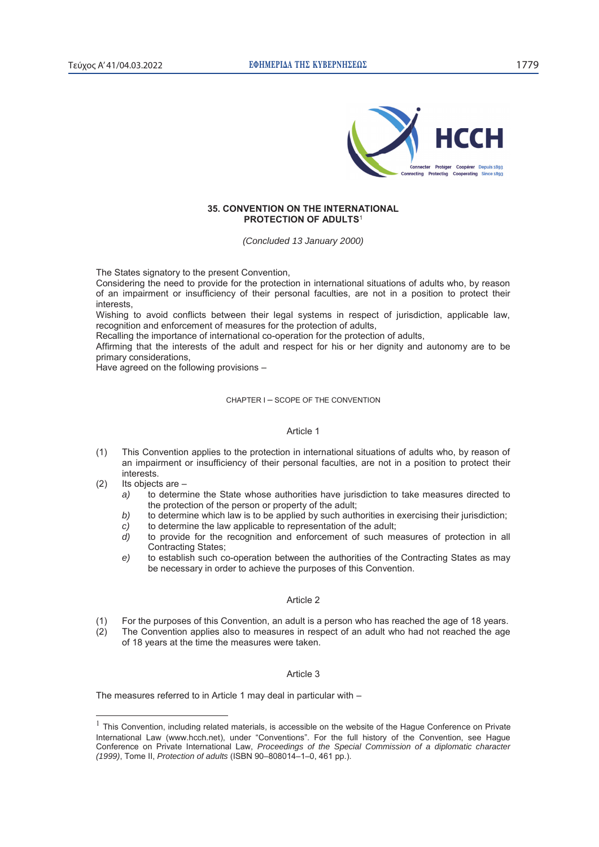

# **35. CONVENTION ON THE INTERNATIONAL PROTECTION OF ADULTS**<sup>1</sup>

*(Concluded 13 January 2000)* 

The States signatory to the present Convention,

Considering the need to provide for the protection in international situations of adults who, by reason of an impairment or insufficiency of their personal faculties, are not in a position to protect their interests,

Wishing to avoid conflicts between their legal systems in respect of jurisdiction, applicable law, recognition and enforcement of measures for the protection of adults,

Recalling the importance of international co-operation for the protection of adults,

Affirming that the interests of the adult and respect for his or her dignity and autonomy are to be primary considerations,

Have agreed on the following provisions –

#### CHAPTER I – SCOPE OF THE CONVENTION

#### Article 1

- (1) This Convention applies to the protection in international situations of adults who, by reason of an impairment or insufficiency of their personal faculties, are not in a position to protect their interests.
- (2) Its objects are
	- *a)* to determine the State whose authorities have jurisdiction to take measures directed to the protection of the person or property of the adult;
	- *b)* to determine which law is to be applied by such authorities in exercising their jurisdiction;
	- *c)* to determine the law applicable to representation of the adult;
	- *d)* to provide for the recognition and enforcement of such measures of protection in all Contracting States;
	- *e)* to establish such co-operation between the authorities of the Contracting States as may be necessary in order to achieve the purposes of this Convention.

# Article 2

- (1) For the purposes of this Convention, an adult is a person who has reached the age of 18 years.
- (2) The Convention applies also to measures in respect of an adult who had not reached the age of 18 years at the time the measures were taken.

#### Article 3

The measures referred to in Article 1 may deal in particular with –

 $1$  This Convention, including related materials, is accessible on the website of the Hague Conference on Private International Law (www.hcch.net), under "Conventions". For the full history of the Convention, see Hague Conference on Private International Law, *Proceedings of the Special Commission of a diplomatic character (1999)*, Tome II, *Protection of adults* (ISBN 90–808014–1–0, 461 pp.).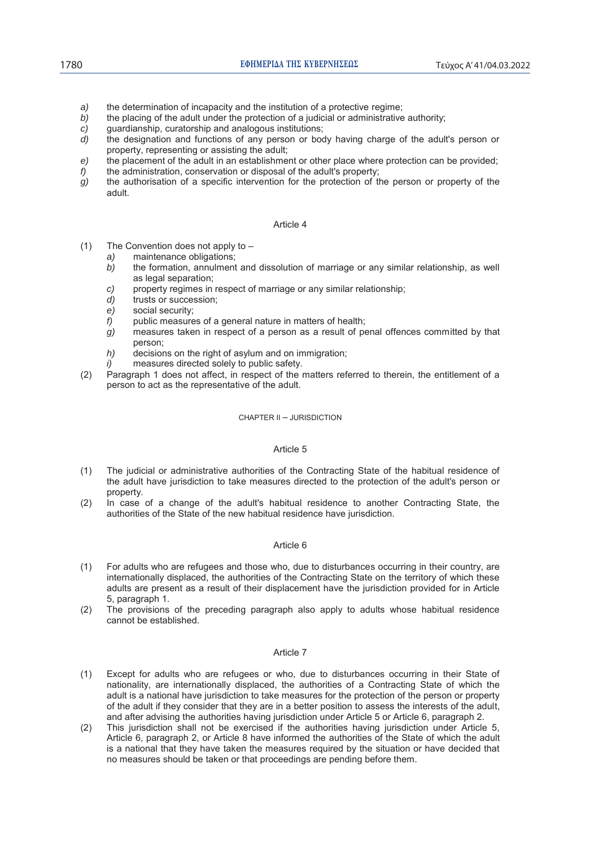- *a)* the determination of incapacity and the institution of a protective regime;
- *b)* the placing of the adult under the protection of a judicial or administrative authority;
- *c)* guardianship, curatorship and analogous institutions;
- *d)* the designation and functions of any person or body having charge of the adult's person or property, representing or assisting the adult;
- *e)* the placement of the adult in an establishment or other place where protection can be provided;
- *f)* the administration, conservation or disposal of the adult's property;
- *g)* the authorisation of a specific intervention for the protection of the person or property of the adult.

- (1) The Convention does not apply to
	- *a)* maintenance obligations;
	- *b)* the formation, annulment and dissolution of marriage or any similar relationship, as well as legal separation;
	- *c)* property regimes in respect of marriage or any similar relationship;
	- *d)* trusts or succession;
	- *e)* social security;
	- f) public measures of a general nature in matters of health;
	- *g)* measures taken in respect of a person as a result of penal offences committed by that person;
	- *h*) decisions on the right of asylum and on immigration:
	- *i)* measures directed solely to public safety.
- (2) Paragraph 1 does not affect, in respect of the matters referred to therein, the entitlement of a person to act as the representative of the adult.

# CHAPTER II – JURISDICTION

# Article 5

- (1) The judicial or administrative authorities of the Contracting State of the habitual residence of the adult have jurisdiction to take measures directed to the protection of the adult's person or property.
- (2) In case of a change of the adult's habitual residence to another Contracting State, the authorities of the State of the new habitual residence have jurisdiction.

# Article 6

- (1) For adults who are refugees and those who, due to disturbances occurring in their country, are internationally displaced, the authorities of the Contracting State on the territory of which these adults are present as a result of their displacement have the jurisdiction provided for in Article 5, paragraph 1.
- (2) The provisions of the preceding paragraph also apply to adults whose habitual residence cannot be established.

#### Article 7

- (1) Except for adults who are refugees or who, due to disturbances occurring in their State of nationality, are internationally displaced, the authorities of a Contracting State of which the adult is a national have jurisdiction to take measures for the protection of the person or property of the adult if they consider that they are in a better position to assess the interests of the adult, and after advising the authorities having jurisdiction under Article 5 or Article 6, paragraph 2.
- (2) This jurisdiction shall not be exercised if the authorities having jurisdiction under Article 5, Article 6, paragraph 2, or Article 8 have informed the authorities of the State of which the adult is a national that they have taken the measures required by the situation or have decided that no measures should be taken or that proceedings are pending before them.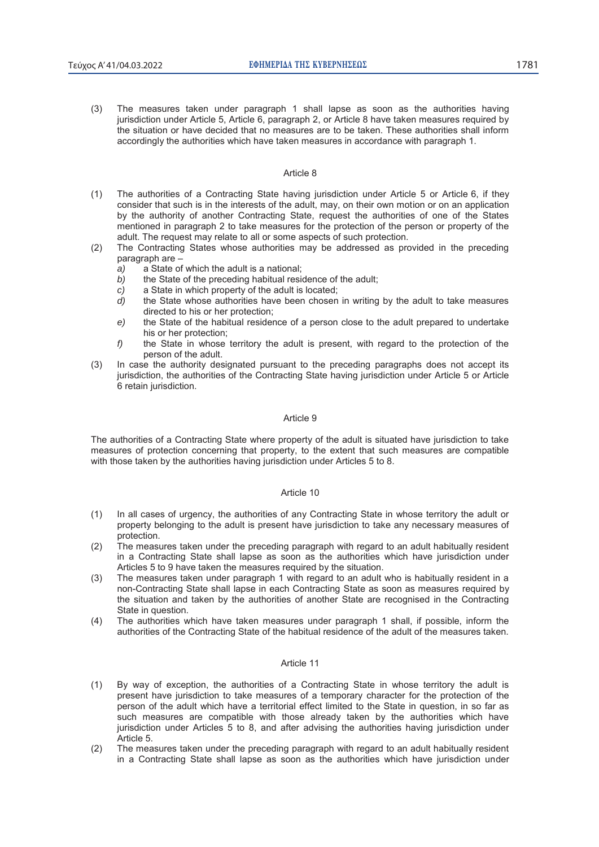(3) The measures taken under paragraph 1 shall lapse as soon as the authorities having jurisdiction under Article 5, Article 6, paragraph 2, or Article 8 have taken measures required by the situation or have decided that no measures are to be taken. These authorities shall inform accordingly the authorities which have taken measures in accordance with paragraph 1.

# Article 8

- (1) The authorities of a Contracting State having jurisdiction under Article 5 or Article 6, if they consider that such is in the interests of the adult, may, on their own motion or on an application by the authority of another Contracting State, request the authorities of one of the States mentioned in paragraph 2 to take measures for the protection of the person or property of the adult. The request may relate to all or some aspects of such protection.
- (2) The Contracting States whose authorities may be addressed as provided in the preceding paragraph are –
	- *a)* a State of which the adult is a national;
	- *b)* the State of the preceding habitual residence of the adult;
	- *c)* a State in which property of the adult is located;
	- *d)* the State whose authorities have been chosen in writing by the adult to take measures directed to his or her protection;
	- *e)* the State of the habitual residence of a person close to the adult prepared to undertake his or her protection;
	- *f*) the State in whose territory the adult is present, with regard to the protection of the person of the adult.
- (3) In case the authority designated pursuant to the preceding paragraphs does not accept its jurisdiction, the authorities of the Contracting State having jurisdiction under Article 5 or Article 6 retain jurisdiction.

#### Article 9

The authorities of a Contracting State where property of the adult is situated have jurisdiction to take measures of protection concerning that property, to the extent that such measures are compatible with those taken by the authorities having jurisdiction under Articles 5 to 8.

#### Article 10

- (1) In all cases of urgency, the authorities of any Contracting State in whose territory the adult or property belonging to the adult is present have jurisdiction to take any necessary measures of protection.
- (2) The measures taken under the preceding paragraph with regard to an adult habitually resident in a Contracting State shall lapse as soon as the authorities which have jurisdiction under Articles 5 to 9 have taken the measures required by the situation.
- (3) The measures taken under paragraph 1 with regard to an adult who is habitually resident in a non-Contracting State shall lapse in each Contracting State as soon as measures required by the situation and taken by the authorities of another State are recognised in the Contracting State in question.
- (4) The authorities which have taken measures under paragraph 1 shall, if possible, inform the authorities of the Contracting State of the habitual residence of the adult of the measures taken.

#### Article 11

- (1) By way of exception, the authorities of a Contracting State in whose territory the adult is present have jurisdiction to take measures of a temporary character for the protection of the person of the adult which have a territorial effect limited to the State in question, in so far as such measures are compatible with those already taken by the authorities which have jurisdiction under Articles 5 to 8, and after advising the authorities having jurisdiction under Article 5.
- (2) The measures taken under the preceding paragraph with regard to an adult habitually resident in a Contracting State shall lapse as soon as the authorities which have jurisdiction under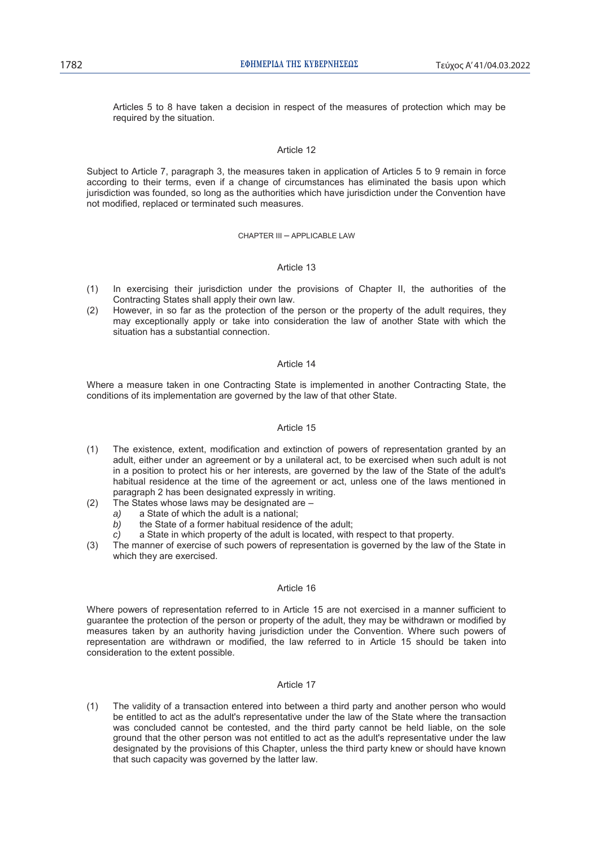Articles 5 to 8 have taken a decision in respect of the measures of protection which may be required by the situation.

# Article 12

Subject to Article 7, paragraph 3, the measures taken in application of Articles 5 to 9 remain in force according to their terms, even if a change of circumstances has eliminated the basis upon which jurisdiction was founded, so long as the authorities which have jurisdiction under the Convention have not modified, replaced or terminated such measures.

#### CHAPTER III – APPLICABLE LAW

# Article 13

- (1) In exercising their jurisdiction under the provisions of Chapter II, the authorities of the Contracting States shall apply their own law.
- (2) However, in so far as the protection of the person or the property of the adult requires, they may exceptionally apply or take into consideration the law of another State with which the situation has a substantial connection.

#### Article 14

Where a measure taken in one Contracting State is implemented in another Contracting State, the conditions of its implementation are governed by the law of that other State.

# Article 15

- (1) The existence, extent, modification and extinction of powers of representation granted by an adult, either under an agreement or by a unilateral act, to be exercised when such adult is not in a position to protect his or her interests, are governed by the law of the State of the adult's habitual residence at the time of the agreement or act, unless one of the laws mentioned in paragraph 2 has been designated expressly in writing.
- $(2)$  The States whose laws may be designated are  $$ 
	- *a)* a State of which the adult is a national;
	- *b)* the State of a former habitual residence of the adult;
	- *c)* a State in which property of the adult is located, with respect to that property.
- (3) The manner of exercise of such powers of representation is governed by the law of the State in which they are exercised.

# Article 16

Where powers of representation referred to in Article 15 are not exercised in a manner sufficient to guarantee the protection of the person or property of the adult, they may be withdrawn or modified by measures taken by an authority having jurisdiction under the Convention. Where such powers of representation are withdrawn or modified, the law referred to in Article 15 should be taken into consideration to the extent possible.

# Article 17

(1) The validity of a transaction entered into between a third party and another person who would be entitled to act as the adult's representative under the law of the State where the transaction was concluded cannot be contested, and the third party cannot be held liable, on the sole ground that the other person was not entitled to act as the adult's representative under the law designated by the provisions of this Chapter, unless the third party knew or should have known that such capacity was governed by the latter law.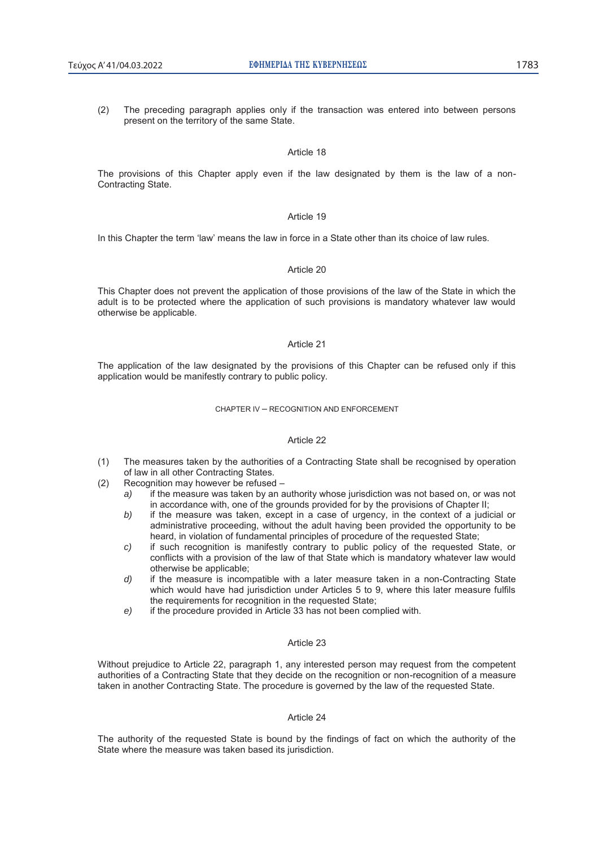(2) The preceding paragraph applies only if the transaction was entered into between persons present on the territory of the same State.

# Article 18

The provisions of this Chapter apply even if the law designated by them is the law of a non-Contracting State.

# Article 19

In this Chapter the term 'law' means the law in force in a State other than its choice of law rules.

#### Article 20

This Chapter does not prevent the application of those provisions of the law of the State in which the adult is to be protected where the application of such provisions is mandatory whatever law would otherwise be applicable.

#### Article 21

The application of the law designated by the provisions of this Chapter can be refused only if this application would be manifestly contrary to public policy.

#### CHAPTER IV – RECOGNITION AND ENFORCEMENT

#### Article 22

- (1) The measures taken by the authorities of a Contracting State shall be recognised by operation of law in all other Contracting States.
- (2) Recognition may however be refused
	- *a)* if the measure was taken by an authority whose jurisdiction was not based on, or was not in accordance with, one of the grounds provided for by the provisions of Chapter II;
	- *b)* if the measure was taken, except in a case of urgency, in the context of a judicial or administrative proceeding, without the adult having been provided the opportunity to be heard, in violation of fundamental principles of procedure of the requested State;
	- *c)* if such recognition is manifestly contrary to public policy of the requested State, or conflicts with a provision of the law of that State which is mandatory whatever law would otherwise be applicable;
	- *d)* if the measure is incompatible with a later measure taken in a non-Contracting State which would have had jurisdiction under Articles 5 to 9, where this later measure fulfils the requirements for recognition in the requested State;
	- *e)* if the procedure provided in Article 33 has not been complied with.

#### Article 23

Without prejudice to Article 22, paragraph 1, any interested person may request from the competent authorities of a Contracting State that they decide on the recognition or non-recognition of a measure taken in another Contracting State. The procedure is governed by the law of the requested State.

#### Article 24

The authority of the requested State is bound by the findings of fact on which the authority of the State where the measure was taken based its jurisdiction.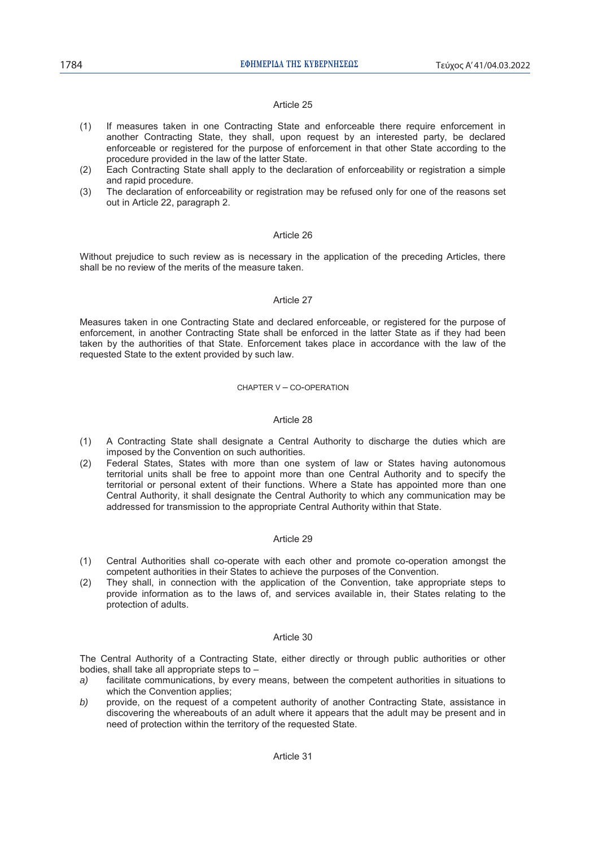- (1) If measures taken in one Contracting State and enforceable there require enforcement in another Contracting State, they shall, upon request by an interested party, be declared enforceable or registered for the purpose of enforcement in that other State according to the procedure provided in the law of the latter State.
- (2) Each Contracting State shall apply to the declaration of enforceability or registration a simple and rapid procedure.
- (3) The declaration of enforceability or registration may be refused only for one of the reasons set out in Article 22, paragraph 2.

# Article 26

Without prejudice to such review as is necessary in the application of the preceding Articles, there shall be no review of the merits of the measure taken.

# Article 27

Measures taken in one Contracting State and declared enforceable, or registered for the purpose of enforcement, in another Contracting State shall be enforced in the latter State as if they had been taken by the authorities of that State. Enforcement takes place in accordance with the law of the requested State to the extent provided by such law.

#### CHAPTER V – CO-OPERATION

# Article 28

- (1) A Contracting State shall designate a Central Authority to discharge the duties which are imposed by the Convention on such authorities.
- (2) Federal States, States with more than one system of law or States having autonomous territorial units shall be free to appoint more than one Central Authority and to specify the territorial or personal extent of their functions. Where a State has appointed more than one Central Authority, it shall designate the Central Authority to which any communication may be addressed for transmission to the appropriate Central Authority within that State.

# Article 29

- (1) Central Authorities shall co-operate with each other and promote co-operation amongst the competent authorities in their States to achieve the purposes of the Convention.
- (2) They shall, in connection with the application of the Convention, take appropriate steps to provide information as to the laws of, and services available in, their States relating to the protection of adults.

# Article 30

The Central Authority of a Contracting State, either directly or through public authorities or other bodies, shall take all appropriate steps to –

- *a)* facilitate communications, by every means, between the competent authorities in situations to which the Convention applies;
- *b)* provide, on the request of a competent authority of another Contracting State, assistance in discovering the whereabouts of an adult where it appears that the adult may be present and in need of protection within the territory of the requested State.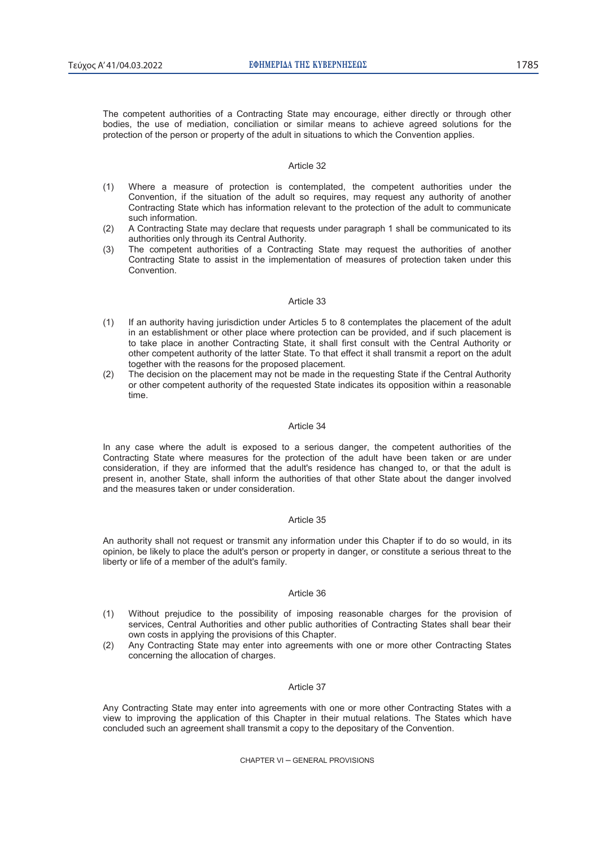The competent authorities of a Contracting State may encourage, either directly or through other bodies, the use of mediation, conciliation or similar means to achieve agreed solutions for the protection of the person or property of the adult in situations to which the Convention applies.

#### Article 32

- (1) Where a measure of protection is contemplated, the competent authorities under the Convention, if the situation of the adult so requires, may request any authority of another Contracting State which has information relevant to the protection of the adult to communicate such information.
- (2) A Contracting State may declare that requests under paragraph 1 shall be communicated to its authorities only through its Central Authority.
- (3) The competent authorities of a Contracting State may request the authorities of another Contracting State to assist in the implementation of measures of protection taken under this **Convention**

# Article 33

- (1) If an authority having jurisdiction under Articles 5 to 8 contemplates the placement of the adult in an establishment or other place where protection can be provided, and if such placement is to take place in another Contracting State, it shall first consult with the Central Authority or other competent authority of the latter State. To that effect it shall transmit a report on the adult together with the reasons for the proposed placement.
- (2) The decision on the placement may not be made in the requesting State if the Central Authority or other competent authority of the requested State indicates its opposition within a reasonable time.

#### Article 34

In any case where the adult is exposed to a serious danger, the competent authorities of the Contracting State where measures for the protection of the adult have been taken or are under consideration, if they are informed that the adult's residence has changed to, or that the adult is present in, another State, shall inform the authorities of that other State about the danger involved and the measures taken or under consideration.

#### Article 35

An authority shall not request or transmit any information under this Chapter if to do so would, in its opinion, be likely to place the adult's person or property in danger, or constitute a serious threat to the liberty or life of a member of the adult's family.

#### Article 36

- (1) Without prejudice to the possibility of imposing reasonable charges for the provision of services, Central Authorities and other public authorities of Contracting States shall bear their own costs in applying the provisions of this Chapter.
- (2) Any Contracting State may enter into agreements with one or more other Contracting States concerning the allocation of charges.

# Article 37

Any Contracting State may enter into agreements with one or more other Contracting States with a view to improving the application of this Chapter in their mutual relations. The States which have concluded such an agreement shall transmit a copy to the depositary of the Convention.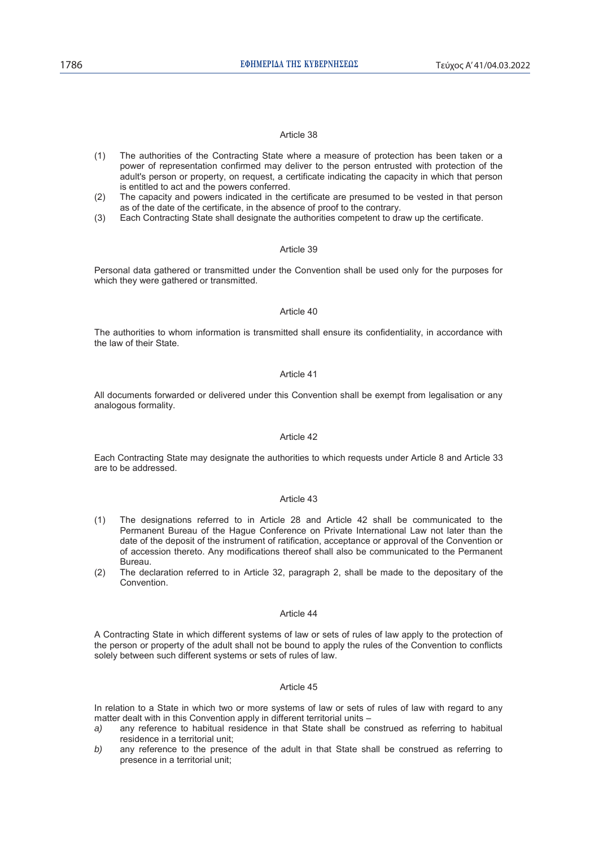- (1) The authorities of the Contracting State where a measure of protection has been taken or a power of representation confirmed may deliver to the person entrusted with protection of the adult's person or property, on request, a certificate indicating the capacity in which that person is entitled to act and the powers conferred.
- (2) The capacity and powers indicated in the certificate are presumed to be vested in that person as of the date of the certificate, in the absence of proof to the contrary.
- (3) Each Contracting State shall designate the authorities competent to draw up the certificate.

#### Article 39

Personal data gathered or transmitted under the Convention shall be used only for the purposes for which they were gathered or transmitted.

#### Article 40

The authorities to whom information is transmitted shall ensure its confidentiality, in accordance with the law of their State.

#### Article 41

All documents forwarded or delivered under this Convention shall be exempt from legalisation or any analogous formality.

# Article 42

Each Contracting State may designate the authorities to which requests under Article 8 and Article 33 are to be addressed.

#### Article 43

- (1) The designations referred to in Article 28 and Article 42 shall be communicated to the Permanent Bureau of the Hague Conference on Private International Law not later than the date of the deposit of the instrument of ratification, acceptance or approval of the Convention or of accession thereto. Any modifications thereof shall also be communicated to the Permanent Bureau.
- (2) The declaration referred to in Article 32, paragraph 2, shall be made to the depositary of the Convention.

#### Article 44

A Contracting State in which different systems of law or sets of rules of law apply to the protection of the person or property of the adult shall not be bound to apply the rules of the Convention to conflicts solely between such different systems or sets of rules of law.

# Article 45

In relation to a State in which two or more systems of law or sets of rules of law with regard to any matter dealt with in this Convention apply in different territorial units –

- *a)* any reference to habitual residence in that State shall be construed as referring to habitual residence in a territorial unit;
- *b)* any reference to the presence of the adult in that State shall be construed as referring to presence in a territorial unit;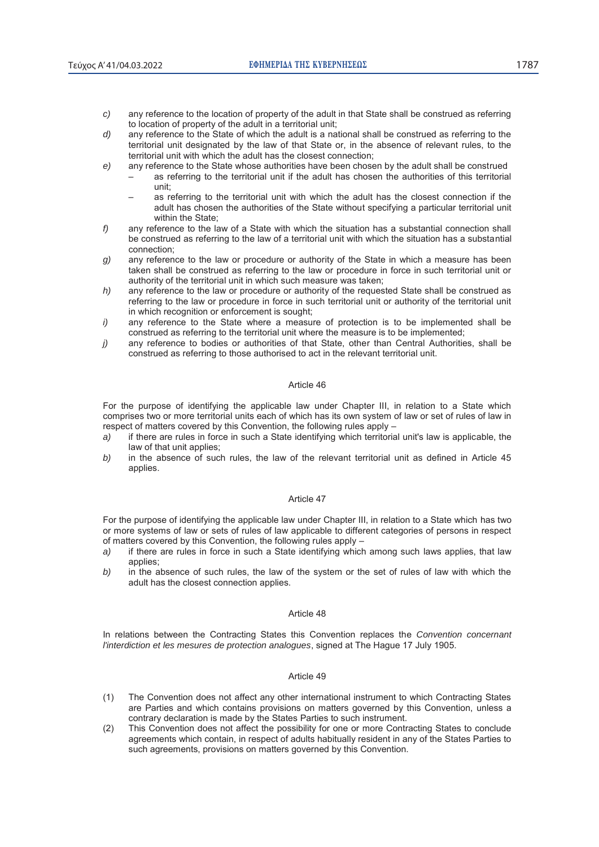- *c)* any reference to the location of property of the adult in that State shall be construed as referring to location of property of the adult in a territorial unit;
- *d)* any reference to the State of which the adult is a national shall be construed as referring to the territorial unit designated by the law of that State or, in the absence of relevant rules, to the territorial unit with which the adult has the closest connection;
- *e)* any reference to the State whose authorities have been chosen by the adult shall be construed
	- as referring to the territorial unit if the adult has chosen the authorities of this territorial unit;
	- as referring to the territorial unit with which the adult has the closest connection if the adult has chosen the authorities of the State without specifying a particular territorial unit within the State;
- *f)* any reference to the law of a State with which the situation has a substantial connection shall be construed as referring to the law of a territorial unit with which the situation has a substantial connection;
- *g)* any reference to the law or procedure or authority of the State in which a measure has been taken shall be construed as referring to the law or procedure in force in such territorial unit or authority of the territorial unit in which such measure was taken;
- *h)* any reference to the law or procedure or authority of the requested State shall be construed as referring to the law or procedure in force in such territorial unit or authority of the territorial unit in which recognition or enforcement is sought;
- *i*) any reference to the State where a measure of protection is to be implemented shall be construed as referring to the territorial unit where the measure is to be implemented;
- *j)* any reference to bodies or authorities of that State, other than Central Authorities, shall be construed as referring to those authorised to act in the relevant territorial unit.

For the purpose of identifying the applicable law under Chapter III, in relation to a State which comprises two or more territorial units each of which has its own system of law or set of rules of law in respect of matters covered by this Convention, the following rules apply –

- *a)* if there are rules in force in such a State identifying which territorial unit's law is applicable, the law of that unit applies;
- *b)* in the absence of such rules, the law of the relevant territorial unit as defined in Article 45 applies.

#### Article 47

For the purpose of identifying the applicable law under Chapter III, in relation to a State which has two or more systems of law or sets of rules of law applicable to different categories of persons in respect of matters covered by this Convention, the following rules apply –

- *a)* if there are rules in force in such a State identifying which among such laws applies, that law applies;
- *b)* in the absence of such rules, the law of the system or the set of rules of law with which the adult has the closest connection applies.

#### Article 48

In relations between the Contracting States this Convention replaces the *Convention concernant l'interdiction et les mesures de protection analogues*, signed at The Hague 17 July 1905.

#### Article 49

- (1) The Convention does not affect any other international instrument to which Contracting States are Parties and which contains provisions on matters governed by this Convention, unless a contrary declaration is made by the States Parties to such instrument.
- (2) This Convention does not affect the possibility for one or more Contracting States to conclude agreements which contain, in respect of adults habitually resident in any of the States Parties to such agreements, provisions on matters governed by this Convention.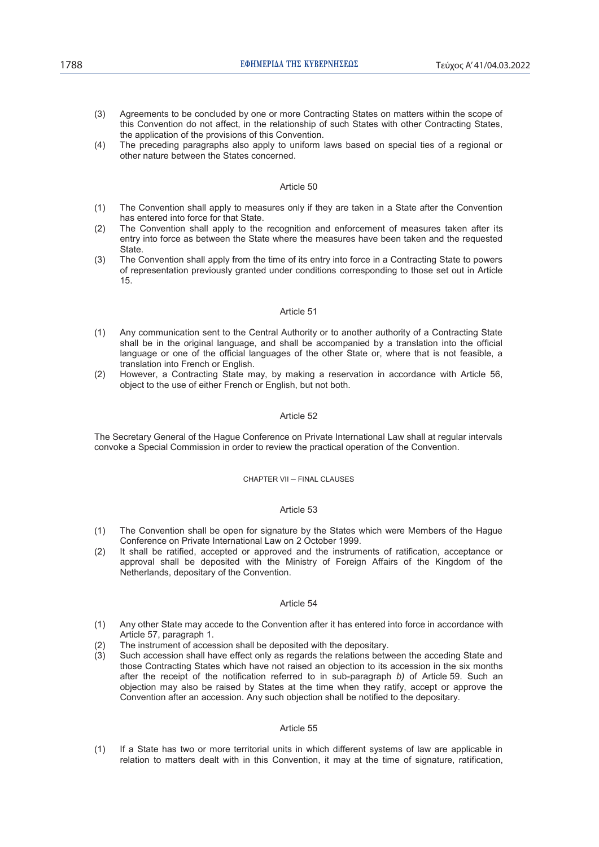- (3) Agreements to be concluded by one or more Contracting States on matters within the scope of this Convention do not affect, in the relationship of such States with other Contracting States, the application of the provisions of this Convention.
- (4) The preceding paragraphs also apply to uniform laws based on special ties of a regional or other nature between the States concerned.

- (1) The Convention shall apply to measures only if they are taken in a State after the Convention has entered into force for that State.
- (2) The Convention shall apply to the recognition and enforcement of measures taken after its entry into force as between the State where the measures have been taken and the requested State.
- (3) The Convention shall apply from the time of its entry into force in a Contracting State to powers of representation previously granted under conditions corresponding to those set out in Article 15.

#### Article 51

- (1) Any communication sent to the Central Authority or to another authority of a Contracting State shall be in the original language, and shall be accompanied by a translation into the official language or one of the official languages of the other State or, where that is not feasible, a translation into French or English.
- (2) However, a Contracting State may, by making a reservation in accordance with Article 56, object to the use of either French or English, but not both.

# Article 52

The Secretary General of the Hague Conference on Private International Law shall at regular intervals convoke a Special Commission in order to review the practical operation of the Convention.

#### CHAPTER VII – FINAL CLAUSES

#### Article 53

- (1) The Convention shall be open for signature by the States which were Members of the Hague Conference on Private International Law on 2 October 1999.
- (2) It shall be ratified, accepted or approved and the instruments of ratification, acceptance or approval shall be deposited with the Ministry of Foreign Affairs of the Kingdom of the Netherlands, depositary of the Convention.

#### Article 54

- (1) Any other State may accede to the Convention after it has entered into force in accordance with Article 57, paragraph 1.
- (2) The instrument of accession shall be deposited with the depositary.
- (3) Such accession shall have effect only as regards the relations between the acceding State and those Contracting States which have not raised an objection to its accession in the six months after the receipt of the notification referred to in sub-paragraph *b)* of Article 59. Such an objection may also be raised by States at the time when they ratify, accept or approve the Convention after an accession. Any such objection shall be notified to the depositary.

#### Article 55

(1) If a State has two or more territorial units in which different systems of law are applicable in relation to matters dealt with in this Convention, it may at the time of signature, ratification,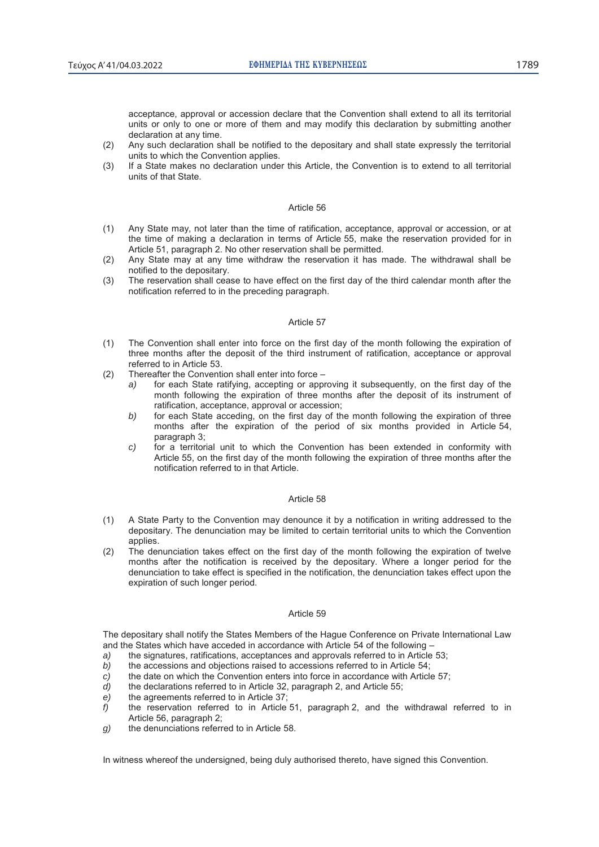acceptance, approval or accession declare that the Convention shall extend to all its territorial units or only to one or more of them and may modify this declaration by submitting another declaration at any time.

- (2) Any such declaration shall be notified to the depositary and shall state expressly the territorial units to which the Convention applies.
- (3) If a State makes no declaration under this Article, the Convention is to extend to all territorial units of that State.

# Article 56

- (1) Any State may, not later than the time of ratification, acceptance, approval or accession, or at the time of making a declaration in terms of Article 55, make the reservation provided for in Article 51, paragraph 2. No other reservation shall be permitted.
- (2) Any State may at any time withdraw the reservation it has made. The withdrawal shall be notified to the depositary.
- (3) The reservation shall cease to have effect on the first day of the third calendar month after the notification referred to in the preceding paragraph.

#### Article 57

- (1) The Convention shall enter into force on the first day of the month following the expiration of three months after the deposit of the third instrument of ratification, acceptance or approval referred to in Article 53.
- (2) Thereafter the Convention shall enter into force
	- *a)* for each State ratifying, accepting or approving it subsequently, on the first day of the month following the expiration of three months after the deposit of its instrument of ratification, acceptance, approval or accession;
	- *b)* for each State acceding, on the first day of the month following the expiration of three months after the expiration of the period of six months provided in Article 54, paragraph 3;
	- *c)* for a territorial unit to which the Convention has been extended in conformity with Article 55, on the first day of the month following the expiration of three months after the notification referred to in that Article.

#### Article 58

- (1) A State Party to the Convention may denounce it by a notification in writing addressed to the depositary. The denunciation may be limited to certain territorial units to which the Convention applies.
- (2) The denunciation takes effect on the first day of the month following the expiration of twelve months after the notification is received by the depositary. Where a longer period for the denunciation to take effect is specified in the notification, the denunciation takes effect upon the expiration of such longer period.

#### Article 59

The depositary shall notify the States Members of the Hague Conference on Private International Law and the States which have acceded in accordance with Article 54 of the following –

- *a)* the signatures, ratifications, acceptances and approvals referred to in Article 53;
- *b)* the accessions and objections raised to accessions referred to in Article 54;
- *c)* the date on which the Convention enters into force in accordance with Article 57;
- *d)* the declarations referred to in Article 32, paragraph 2, and Article 55;
- *e)* the agreements referred to in Article 37;
- *f)* the reservation referred to in Article 51, paragraph 2, and the withdrawal referred to in Article 56, paragraph 2;
- *g)* the denunciations referred to in Article 58.

In witness whereof the undersigned, being duly authorised thereto, have signed this Convention.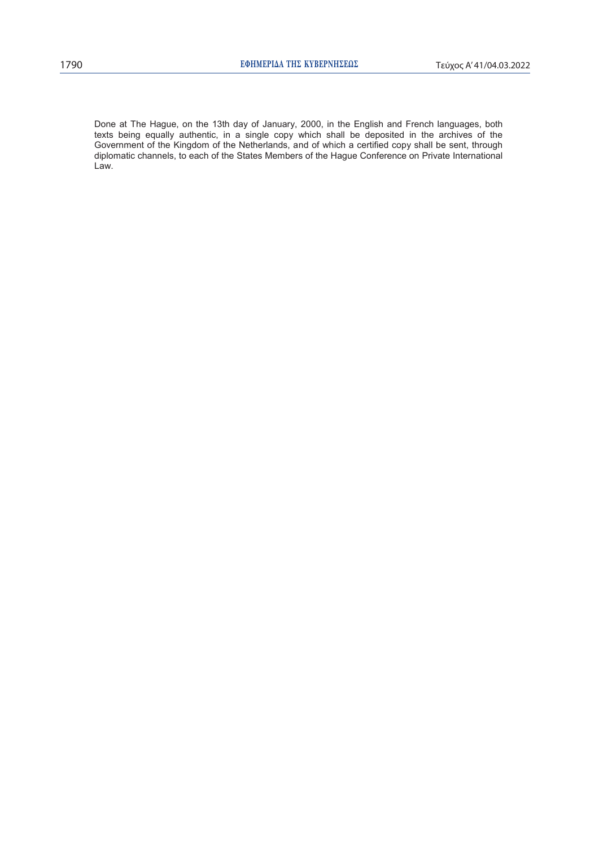Done at The Hague, on the 13th day of January, 2000, in the English and French languages, both texts being equally authentic, in a single copy which shall be deposited in the archives of the Government of the Kingdom of the Netherlands, and of which a certified copy shall be sent, through diplomatic channels, to each of the States Members of the Hague Conference on Private International Law.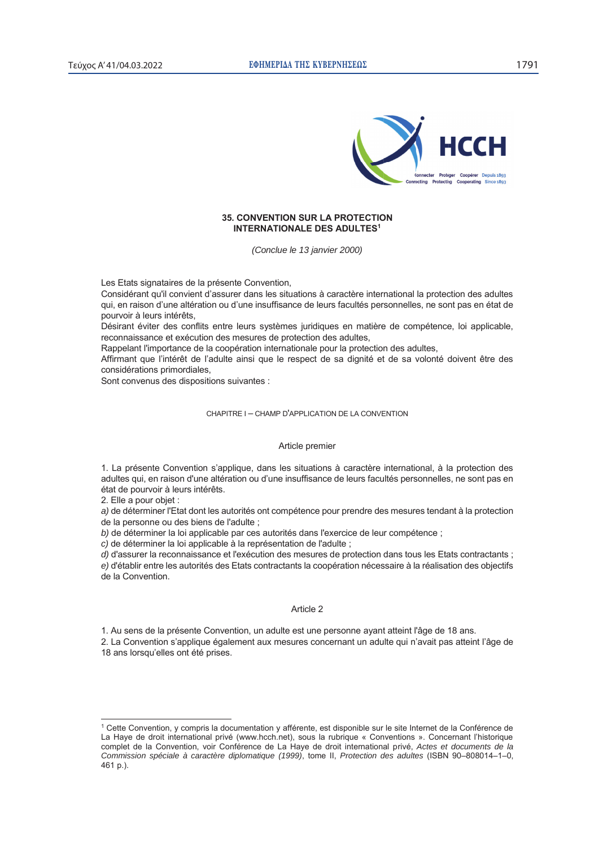

# **35. CONVENTION SUR LA PROTECTION INTERNATIONALE DES ADULTES1**

*(Conclue le 13 janvier 2000)* 

Les Etats signataires de la présente Convention.

Considérant qu'il convient d'assurer dans les situations à caractère international la protection des adultes qui, en raison d'une altération ou d'une insuffisance de leurs facultés personnelles, ne sont pas en état de pourvoir à leurs intérêts,

Désirant éviter des conflits entre leurs systèmes juridiques en matière de compétence, loi applicable, reconnaissance et exécution des mesures de protection des adultes,

Rappelant l'importance de la coopération internationale pour la protection des adultes,

Affirmant que l'intérêt de l'adulte ainsi que le respect de sa dignité et de sa volonté doivent être des considérations primordiales,

Sont convenus des dispositions suivantes :

CHAPITRE I – CHAMP D'APPLICATION DE LA CONVENTION

# Article premier

1. La présente Convention s'applique, dans les situations à caractère international, à la protection des adultes qui, en raison d'une altération ou d'une insuffisance de leurs facultés personnelles, ne sont pas en état de pourvoir à leurs intérêts.

2. Elle a pour objet :

*a)* de déterminer l'Etat dont les autorités ont compétence pour prendre des mesures tendant à la protection de la personne ou des biens de l'adulte ;

*b)* de déterminer la loi applicable par ces autorités dans l'exercice de leur compétence ;

*c)* de déterminer la loi applicable à la représentation de l'adulte ;

*d)* d'assurer la reconnaissance et l'exécution des mesures de protection dans tous les Etats contractants ; *e)* d'établir entre les autorités des Etats contractants la coopération nécessaire à la réalisation des objectifs de la Convention.

#### Article 2

1. Au sens de la présente Convention, un adulte est une personne ayant atteint l'âge de 18 ans.

2. La Convention s'applique également aux mesures concernant un adulte qui n'avait pas atteint l'âge de 18 ans lorsqu'elles ont été prises.

<sup>1</sup> Cette Convention, y compris la documentation y afférente, est disponible sur le site Internet de la Conférence de La Haye de droit international privé (www.hcch.net), sous la rubrique « Conventions ». Concernant l'historique complet de la Convention, voir Conférence de La Haye de droit international privé, *Actes et documents de la Commission spéciale à caractère diplomatique (1999)*, tome II, *Protection des adultes* (ISBN 90–808014–1–0, 461 p.).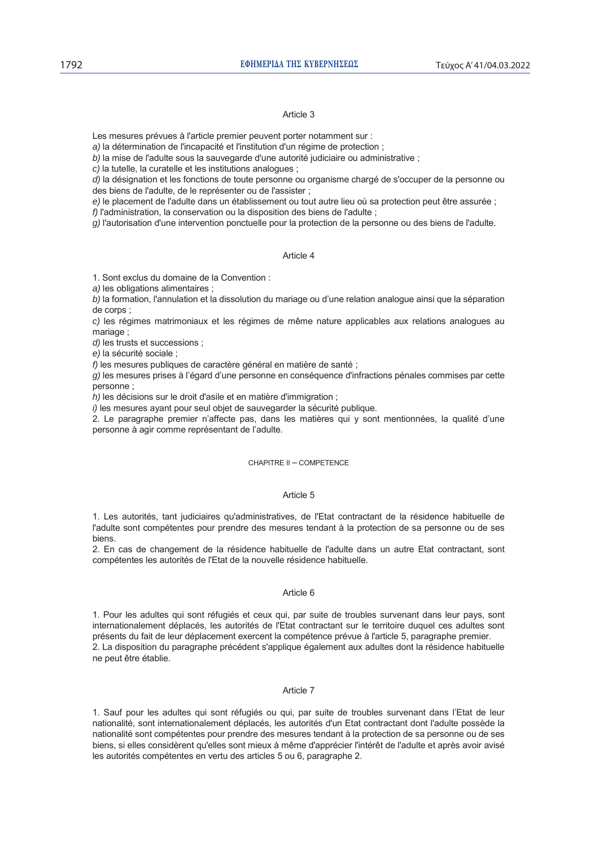Les mesures prévues à l'article premier peuvent porter notamment sur :

*a)* la détermination de l'incapacité et l'institution d'un régime de protection ;

*b)* la mise de l'adulte sous la sauvegarde d'une autorité judiciaire ou administrative ;

*c)* la tutelle, la curatelle et les institutions analogues ;

*d)* la désignation et les fonctions de toute personne ou organisme chargé de s'occuper de la personne ou des biens de l'adulte, de le représenter ou de l'assister ;

*e)* le placement de l'adulte dans un établissement ou tout autre lieu où sa protection peut être assurée ; *f)* l'administration, la conservation ou la disposition des biens de l'adulte ;

*g*) l'autorisation d'une intervention ponctuelle pour la protection de la personne ou des biens de l'adulte.

# Article 4

1. Sont exclus du domaine de la Convention :

*a)* les obligations alimentaires ;

*b)* la formation, l'annulation et la dissolution du mariage ou d'une relation analogue ainsi que la séparation de corps ;

*c)* les régimes matrimoniaux et les régimes de même nature applicables aux relations analogues au mariage ;

*d*) les trusts et successions ;

*e)* la sécurité sociale ;

*f)* les mesures publiques de caractère général en matière de santé ;

*g)* les mesures prises à l'égard d'une personne en conséquence d'infractions pénales commises par cette personne ;

*h)* les décisions sur le droit d'asile et en matière d'immigration ;

*i)* les mesures ayant pour seul objet de sauvegarder la sécurité publique.

2. Le paragraphe premier n'affecte pas, dans les matières qui y sont mentionnées, la qualité d'une personne à agir comme représentant de l'adulte.

#### CHAPITRE II – COMPETENCE

#### Article 5

1. Les autorités, tant judiciaires qu'administratives, de l'Etat contractant de la résidence habituelle de l'adulte sont compétentes pour prendre des mesures tendant à la protection de sa personne ou de ses biens.

2. En cas de changement de la résidence habituelle de l'adulte dans un autre Etat contractant, sont compétentes les autorités de l'Etat de la nouvelle résidence habituelle.

#### Article 6

1. Pour les adultes qui sont réfugiés et ceux qui, par suite de troubles survenant dans leur pays, sont internationalement déplacés, les autorités de l'Etat contractant sur le territoire duquel ces adultes sont présents du fait de leur déplacement exercent la compétence prévue à l'article 5, paragraphe premier. 2. La disposition du paragraphe précédent s'applique également aux adultes dont la résidence habituelle ne peut être établie.

#### Article 7

1. Sauf pour les adultes qui sont réfugiés ou qui, par suite de troubles survenant dans l'Etat de leur nationalité, sont internationalement déplacés, les autorités d'un Etat contractant dont l'adulte possède la nationalité sont compétentes pour prendre des mesures tendant à la protection de sa personne ou de ses biens, si elles considèrent qu'elles sont mieux à même d'apprécier l'intérêt de l'adulte et après avoir avisé les autorités compétentes en vertu des articles 5 ou 6, paragraphe 2.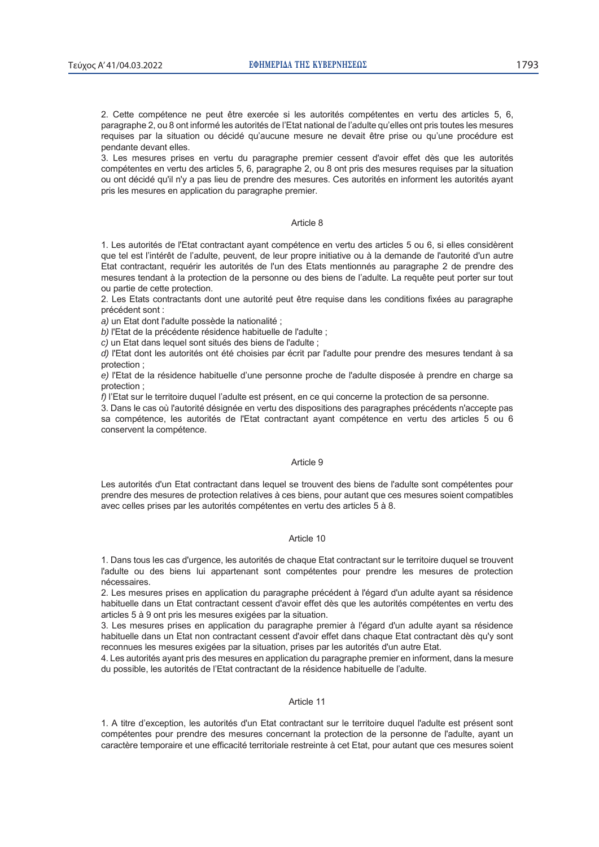2. Cette compétence ne peut être exercée si les autorités compétentes en vertu des articles 5, 6, paragraphe 2, ou 8 ont informé les autorités de l'Etat national de l'adulte qu'elles ont pris toutes les mesures requises par la situation ou décidé qu'aucune mesure ne devait être prise ou qu'une procédure est pendante devant elles.

3. Les mesures prises en vertu du paragraphe premier cessent d'avoir effet dès que les autorités compétentes en vertu des articles 5, 6, paragraphe 2, ou 8 ont pris des mesures requises par la situation ou ont décidé qu'il n'y a pas lieu de prendre des mesures. Ces autorités en informent les autorités ayant pris les mesures en application du paragraphe premier.

#### Article 8

1. Les autorités de l'Etat contractant ayant compétence en vertu des articles 5 ou 6, si elles considèrent que tel est l'intérêt de l'adulte, peuvent, de leur propre initiative ou à la demande de l'autorité d'un autre Etat contractant, requérir les autorités de l'un des Etats mentionnés au paragraphe 2 de prendre des mesures tendant à la protection de la personne ou des biens de l'adulte. La requête peut porter sur tout ou partie de cette protection.

2. Les Etats contractants dont une autorité peut être requise dans les conditions fixées au paragraphe précédent sont :

*a)* un Etat dont l'adulte possède la nationalité ;

*b)* l'Etat de la précédente résidence habituelle de l'adulte ;

*c)* un Etat dans lequel sont situés des biens de l'adulte ;

*d)* l'Etat dont les autorités ont été choisies par écrit par l'adulte pour prendre des mesures tendant à sa protection ;

*e)* l'Etat de la résidence habituelle d'une personne proche de l'adulte disposée à prendre en charge sa protection ;

*f)* l'Etat sur le territoire duquel l'adulte est présent, en ce qui concerne la protection de sa personne.

3. Dans le cas où l'autorité désignée en vertu des dispositions des paragraphes précédents n'accepte pas sa compétence, les autorités de l'Etat contractant ayant compétence en vertu des articles 5 ou 6 conservent la compétence.

# Article 9

Les autorités d'un Etat contractant dans lequel se trouvent des biens de l'adulte sont compétentes pour prendre des mesures de protection relatives à ces biens, pour autant que ces mesures soient compatibles avec celles prises par les autorités compétentes en vertu des articles 5 à 8.

#### Article 10

1. Dans tous les cas d'urgence, les autorités de chaque Etat contractant sur le territoire duquel se trouvent l'adulte ou des biens lui appartenant sont compétentes pour prendre les mesures de protection nécessaires.

2. Les mesures prises en application du paragraphe précédent à l'égard d'un adulte ayant sa résidence habituelle dans un Etat contractant cessent d'avoir effet dès que les autorités compétentes en vertu des articles 5 à 9 ont pris les mesures exigées par la situation.

3. Les mesures prises en application du paragraphe premier à l'égard d'un adulte ayant sa résidence habituelle dans un Etat non contractant cessent d'avoir effet dans chaque Etat contractant dès qu'y sont reconnues les mesures exigées par la situation, prises par les autorités d'un autre Etat.

4. Les autorités ayant pris des mesures en application du paragraphe premier en informent, dans la mesure du possible, les autorités de l'Etat contractant de la résidence habituelle de l'adulte.

#### Article 11

1. A titre d'exception, les autorités d'un Etat contractant sur le territoire duquel l'adulte est présent sont compétentes pour prendre des mesures concernant la protection de la personne de l'adulte, ayant un caractère temporaire et une efficacité territoriale restreinte à cet Etat, pour autant que ces mesures soient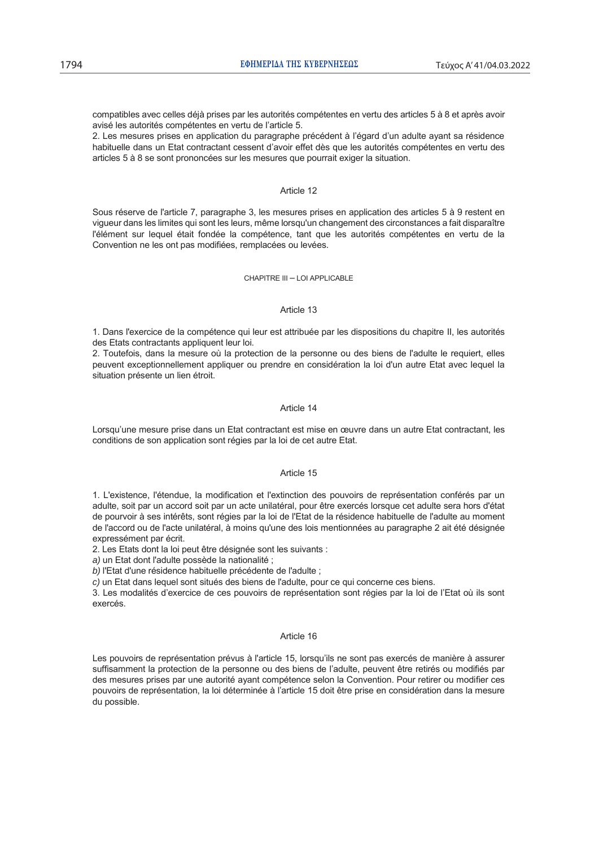compatibles avec celles déjà prises par les autorités compétentes en vertu des articles 5 à 8 et après avoir avisé les autorités compétentes en vertu de l'article 5.

2. Les mesures prises en application du paragraphe précédent à l'égard d'un adulte ayant sa résidence habituelle dans un Etat contractant cessent d'avoir effet dès que les autorités compétentes en vertu des articles 5 à 8 se sont prononcées sur les mesures que pourrait exiger la situation.

#### Article 12

Sous réserve de l'article 7, paragraphe 3, les mesures prises en application des articles 5 à 9 restent en vigueur dans les limites qui sont les leurs, même lorsqu'un changement des circonstances a fait disparaître l'élément sur lequel était fondée la compétence, tant que les autorités compétentes en vertu de la Convention ne les ont pas modifiées, remplacées ou levées.

#### CHAPITRE III – LOI APPLICABLE

#### Article 13

1. Dans l'exercice de la compétence qui leur est attribuée par les dispositions du chapitre II, les autorités des Etats contractants appliquent leur loi.

2. Toutefois, dans la mesure où la protection de la personne ou des biens de l'adulte le requiert, elles peuvent exceptionnellement appliquer ou prendre en considération la loi d'un autre Etat avec lequel la situation présente un lien étroit.

#### Article 14

Lorsqu'une mesure prise dans un Etat contractant est mise en œuvre dans un autre Etat contractant, les conditions de son application sont régies par la loi de cet autre Etat.

#### Article 15

1. L'existence, l'étendue, la modification et l'extinction des pouvoirs de représentation conférés par un adulte, soit par un accord soit par un acte unilatéral, pour être exercés lorsque cet adulte sera hors d'état de pourvoir à ses intérêts, sont régies par la loi de l'Etat de la résidence habituelle de l'adulte au moment de l'accord ou de l'acte unilatéral, à moins qu'une des lois mentionnées au paragraphe 2 ait été désignée expressément par écrit.

2. Les Etats dont la loi peut être désignée sont les suivants :

*a)* un Etat dont l'adulte possède la nationalité ;

*b)* l'Etat d'une résidence habituelle précédente de l'adulte ;

*c)* un Etat dans lequel sont situés des biens de l'adulte, pour ce qui concerne ces biens.

3. Les modalités d'exercice de ces pouvoirs de représentation sont régies par la loi de l'Etat où ils sont exercés.

# Article 16

Les pouvoirs de représentation prévus à l'article 15, lorsqu'ils ne sont pas exercés de manière à assurer suffisamment la protection de la personne ou des biens de l'adulte, peuvent être retirés ou modifiés par des mesures prises par une autorité ayant compétence selon la Convention. Pour retirer ou modifier ces pouvoirs de représentation, la loi déterminée à l'article 15 doit être prise en considération dans la mesure du possible.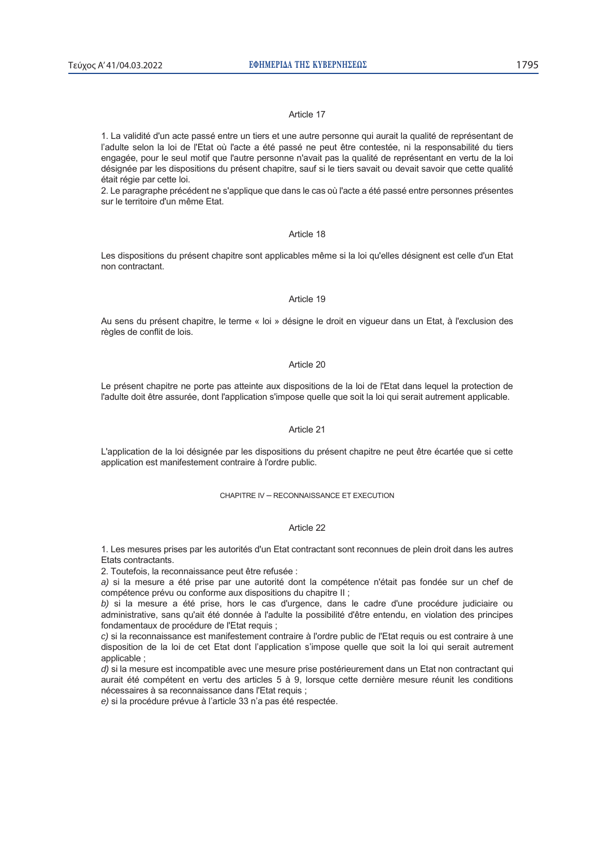1. La validité d'un acte passé entre un tiers et une autre personne qui aurait la qualité de représentant de l'adulte selon la loi de l'Etat où l'acte a été passé ne peut être contestée, ni la responsabilité du tiers engagée, pour le seul motif que l'autre personne n'avait pas la qualité de représentant en vertu de la loi désignée par les dispositions du présent chapitre, sauf si le tiers savait ou devait savoir que cette qualité était régie par cette loi.

2. Le paragraphe précédent ne s'applique que dans le cas où l'acte a été passé entre personnes présentes sur le territoire d'un même Etat.

#### Article 18

Les dispositions du présent chapitre sont applicables même si la loi qu'elles désignent est celle d'un Etat non contractant.

#### Article 19

Au sens du présent chapitre, le terme « loi » désigne le droit en vigueur dans un Etat, à l'exclusion des règles de conflit de lois.

#### Article 20

Le présent chapitre ne porte pas atteinte aux dispositions de la loi de l'Etat dans lequel la protection de l'adulte doit être assurée, dont l'application s'impose quelle que soit la loi qui serait autrement applicable.

#### Article 21

L'application de la loi désignée par les dispositions du présent chapitre ne peut être écartée que si cette application est manifestement contraire à l'ordre public.

#### CHAPITRE IV – RECONNAISSANCE ET EXECUTION

#### Article 22

1. Les mesures prises par les autorités d'un Etat contractant sont reconnues de plein droit dans les autres Etats contractants.

2. Toutefois, la reconnaissance peut être refusée :

*a)* si la mesure a été prise par une autorité dont la compétence n'était pas fondée sur un chef de compétence prévu ou conforme aux dispositions du chapitre II ;

*b)* si la mesure a été prise, hors le cas d'urgence, dans le cadre d'une procédure judiciaire ou administrative, sans qu'ait été donnée à l'adulte la possibilité d'être entendu, en violation des principes fondamentaux de procédure de l'Etat requis ;

*c)* si la reconnaissance est manifestement contraire à l'ordre public de l'Etat requis ou est contraire à une disposition de la loi de cet Etat dont l'application s'impose quelle que soit la loi qui serait autrement applicable ;

*d)* si la mesure est incompatible avec une mesure prise postérieurement dans un Etat non contractant qui aurait été compétent en vertu des articles 5 à 9, lorsque cette dernière mesure réunit les conditions nécessaires à sa reconnaissance dans l'Etat requis ;

*e)* si la procédure prévue à l'article 33 n'a pas été respectée.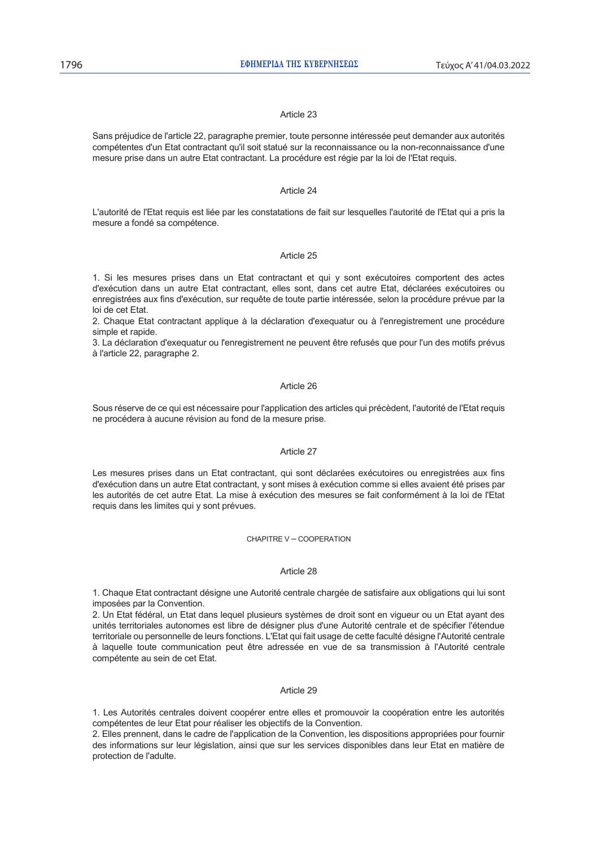Sans préjudice de l'article 22, paragraphe premier, toute personne intéressée peut demander aux autorités compétentes d'un Etat contractant qu'il soit statué sur la reconnaissance ou la non-reconnaissance d'une mesure prise dans un autre Etat contractant. La procédure est régie par la loi de l'Etat requis.

#### Article 24

L'autorité de l'Etat requis est liée par les constatations de fait sur lesquelles l'autorité de l'Etat qui a pris la mesure a fondé sa compétence.

# Article 25

1. Si les mesures prises dans un Etat contractant et qui y sont exécutoires comportent des actes d'exécution dans un autre Etat contractant, elles sont, dans cet autre Etat, déclarées exécutoires ou enregistrées aux fins d'exécution, sur requête de toute partie intéressée, selon la procédure prévue par la loi de cet Etat.

2. Chaque Etat contractant applique à la déclaration d'exequatur ou à l'enregistrement une procédure simple et rapide.

3. La déclaration d'exequatur ou l'enregistrement ne peuvent être refusés que pour l'un des motifs prévus à l'article 22, paragraphe 2.

#### Article 26

Sous réserve de ce qui est nécessaire pour l'application des articles qui précèdent, l'autorité de l'Etat requis ne procédera à aucune révision au fond de la mesure prise.

#### Article 27

Les mesures prises dans un Etat contractant, qui sont déclarées exécutoires ou enregistrées aux fins d'exécution dans un autre Etat contractant, y sont mises à exécution comme si elles avaient été prises par les autorités de cet autre Etat. La mise à exécution des mesures se fait conformément à la loi de l'Etat requis dans les limites qui y sont prévues.

#### CHAPITRE V – COOPERATION

#### Article 28

1. Chaque Etat contractant désigne une Autorité centrale chargée de satisfaire aux obligations qui lui sont imposées par la Convention.

2. Un Etat fédéral, un Etat dans lequel plusieurs systèmes de droit sont en vigueur ou un Etat ayant des unités territoriales autonomes est libre de désigner plus d'une Autorité centrale et de spécifier l'étendue territoriale ou personnelle de leurs fonctions. L'Etat qui fait usage de cette faculté désigne l'Autorité centrale à laquelle toute communication peut être adressée en vue de sa transmission à l'Autorité centrale compétente au sein de cet Etat.

# Article 29

1. Les Autorités centrales doivent coopérer entre elles et promouvoir la coopération entre les autorités compétentes de leur Etat pour réaliser les objectifs de la Convention.

2. Elles prennent, dans le cadre de l'application de la Convention, les dispositions appropriées pour fournir des informations sur leur législation, ainsi que sur les services disponibles dans leur Etat en matière de protection de l'adulte.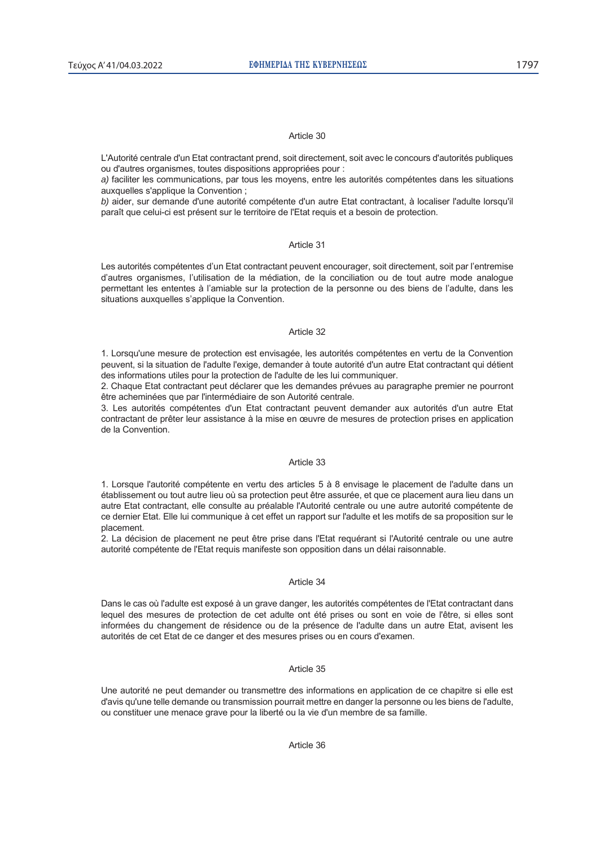L'Autorité centrale d'un Etat contractant prend, soit directement, soit avec le concours d'autorités publiques ou d'autres organismes, toutes dispositions appropriées pour :

*a)* faciliter les communications, par tous les moyens, entre les autorités compétentes dans les situations auxquelles s'applique la Convention ;

*b)* aider, sur demande d'une autorité compétente d'un autre Etat contractant, à localiser l'adulte lorsqu'il paraît que celui-ci est présent sur le territoire de l'Etat requis et a besoin de protection.

#### Article 31

Les autorités compétentes d'un Etat contractant peuvent encourager, soit directement, soit par l'entremise d'autres organismes, l'utilisation de la médiation, de la conciliation ou de tout autre mode analogue permettant les ententes à l'amiable sur la protection de la personne ou des biens de l'adulte, dans les situations auxquelles s'applique la Convention.

#### Article 32

1. Lorsqu'une mesure de protection est envisagée, les autorités compétentes en vertu de la Convention peuvent, si la situation de l'adulte l'exige, demander à toute autorité d'un autre Etat contractant qui détient des informations utiles pour la protection de l'adulte de les lui communiquer.

2. Chaque Etat contractant peut déclarer que les demandes prévues au paragraphe premier ne pourront être acheminées que par l'intermédiaire de son Autorité centrale.

3. Les autorités compétentes d'un Etat contractant peuvent demander aux autorités d'un autre Etat contractant de prêter leur assistance à la mise en œuvre de mesures de protection prises en application de la Convention.

# Article 33

1. Lorsque l'autorité compétente en vertu des articles 5 à 8 envisage le placement de l'adulte dans un établissement ou tout autre lieu où sa protection peut être assurée, et que ce placement aura lieu dans un autre Etat contractant, elle consulte au préalable l'Autorité centrale ou une autre autorité compétente de ce dernier Etat. Elle lui communique à cet effet un rapport sur l'adulte et les motifs de sa proposition sur le placement.

2. La décision de placement ne peut être prise dans l'Etat requérant si l'Autorité centrale ou une autre autorité compétente de l'Etat requis manifeste son opposition dans un délai raisonnable.

#### Article 34

Dans le cas où l'adulte est exposé à un grave danger, les autorités compétentes de l'Etat contractant dans lequel des mesures de protection de cet adulte ont été prises ou sont en voie de l'être, si elles sont informées du changement de résidence ou de la présence de l'adulte dans un autre Etat, avisent les autorités de cet Etat de ce danger et des mesures prises ou en cours d'examen.

#### Article 35

Une autorité ne peut demander ou transmettre des informations en application de ce chapitre si elle est d'avis qu'une telle demande ou transmission pourrait mettre en danger la personne ou les biens de l'adulte, ou constituer une menace grave pour la liberté ou la vie d'un membre de sa famille.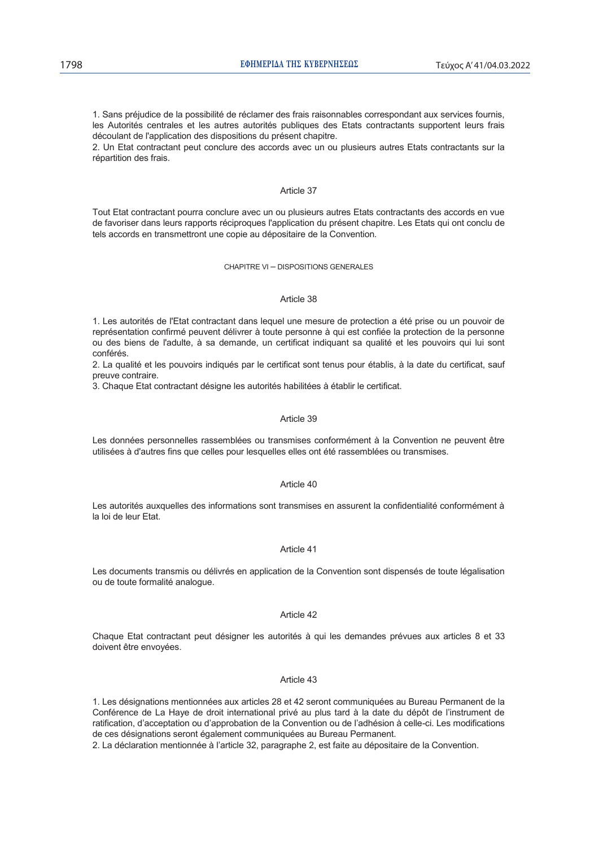1. Sans préjudice de la possibilité de réclamer des frais raisonnables correspondant aux services fournis, les Autorités centrales et les autres autorités publiques des Etats contractants supportent leurs frais découlant de l'application des dispositions du présent chapitre.

2. Un Etat contractant peut conclure des accords avec un ou plusieurs autres Etats contractants sur la répartition des frais.

# Article 37

Tout Etat contractant pourra conclure avec un ou plusieurs autres Etats contractants des accords en vue de favoriser dans leurs rapports réciproques l'application du présent chapitre. Les Etats qui ont conclu de tels accords en transmettront une copie au dépositaire de la Convention.

#### CHAPITRE VI – DISPOSITIONS GENERALES

#### Article 38

1. Les autorités de l'Etat contractant dans lequel une mesure de protection a été prise ou un pouvoir de représentation confirmé peuvent délivrer à toute personne à qui est confiée la protection de la personne ou des biens de l'adulte, à sa demande, un certificat indiquant sa qualité et les pouvoirs qui lui sont conférés.

2. La qualité et les pouvoirs indiqués par le certificat sont tenus pour établis, à la date du certificat, sauf preuve contraire.

3. Chaque Etat contractant désigne les autorités habilitées à établir le certificat.

#### Article 39

Les données personnelles rassemblées ou transmises conformément à la Convention ne peuvent être utilisées à d'autres fins que celles pour lesquelles elles ont été rassemblées ou transmises.

### Article 40

Les autorités auxquelles des informations sont transmises en assurent la confidentialité conformément à la loi de leur Etat.

#### Article 41

Les documents transmis ou délivrés en application de la Convention sont dispensés de toute légalisation ou de toute formalité analogue.

#### Article 42

Chaque Etat contractant peut désigner les autorités à qui les demandes prévues aux articles 8 et 33 doivent être envoyées.

#### Article 43

1. Les désignations mentionnées aux articles 28 et 42 seront communiquées au Bureau Permanent de la Conférence de La Haye de droit international privé au plus tard à la date du dépôt de l'instrument de ratification, d'acceptation ou d'approbation de la Convention ou de l'adhésion à celle-ci. Les modifications de ces désignations seront également communiquées au Bureau Permanent.

2. La déclaration mentionnée à l'article 32, paragraphe 2, est faite au dépositaire de la Convention.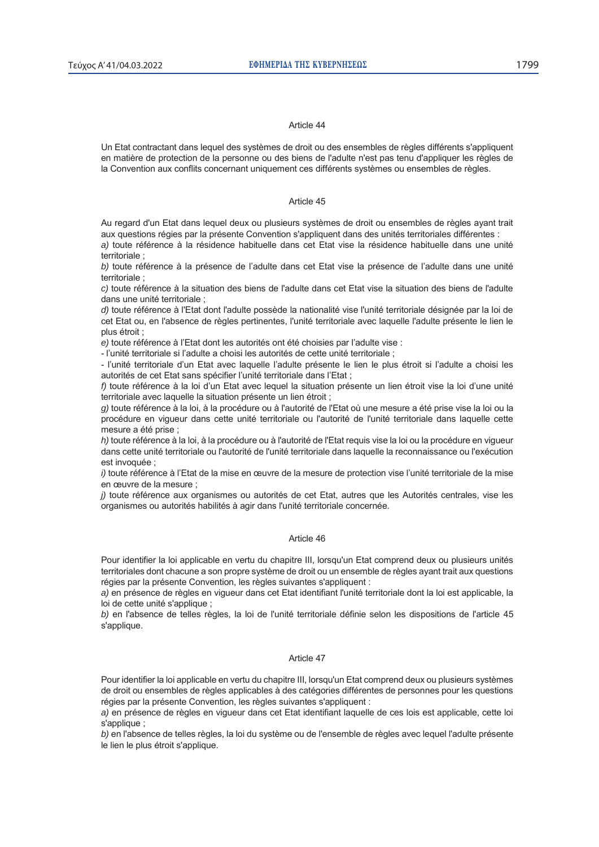Un Etat contractant dans lequel des systèmes de droit ou des ensembles de règles différents s'appliquent en matière de protection de la personne ou des biens de l'adulte n'est pas tenu d'appliquer les règles de la Convention aux conflits concernant uniquement ces différents systèmes ou ensembles de règles.

#### Article 45

Au regard d'un Etat dans lequel deux ou plusieurs systèmes de droit ou ensembles de règles ayant trait aux questions régies par la présente Convention s'appliquent dans des unités territoriales différentes :

*a)* toute référence à la résidence habituelle dans cet Etat vise la résidence habituelle dans une unité territoriale ;

*b)* toute référence à la présence de l'adulte dans cet Etat vise la présence de l'adulte dans une unité territoriale ;

*c)* toute référence à la situation des biens de l'adulte dans cet Etat vise la situation des biens de l'adulte dans une unité territoriale ;

*d)* toute référence à l'Etat dont l'adulte possède la nationalité vise l'unité territoriale désignée par la loi de cet Etat ou, en l'absence de règles pertinentes, l'unité territoriale avec laquelle l'adulte présente le lien le plus étroit ;

*e)* toute référence à l'Etat dont les autorités ont été choisies par l'adulte vise :

- l'unité territoriale si l'adulte a choisi les autorités de cette unité territoriale ;

- l'unité territoriale d'un Etat avec laquelle l'adulte présente le lien le plus étroit si l'adulte a choisi les autorités de cet Etat sans spécifier l'unité territoriale dans l'Etat ;

*f)* toute référence à la loi d'un Etat avec lequel la situation présente un lien étroit vise la loi d'une unité territoriale avec laquelle la situation présente un lien étroit ;

*g)* toute référence à la loi, à la procédure ou à l'autorité de l'Etat où une mesure a été prise vise la loi ou la procédure en vigueur dans cette unité territoriale ou l'autorité de l'unité territoriale dans laquelle cette mesure a été prise ;

*h)* toute référence à la loi, à la procédure ou à l'autorité de l'Etat requis vise la loi ou la procédure en vigueur dans cette unité territoriale ou l'autorité de l'unité territoriale dans laquelle la reconnaissance ou l'exécution est invoquée ;

*i)* toute référence à l'Etat de la mise en œuvre de la mesure de protection vise l'unité territoriale de la mise en œuvre de la mesure ;

*j)* toute référence aux organismes ou autorités de cet Etat, autres que les Autorités centrales, vise les organismes ou autorités habilités à agir dans l'unité territoriale concernée.

#### Article 46

Pour identifier la loi applicable en vertu du chapitre III, lorsqu'un Etat comprend deux ou plusieurs unités territoriales dont chacune a son propre système de droit ou un ensemble de règles ayant trait aux questions régies par la présente Convention, les règles suivantes s'appliquent :

*a)* en présence de règles en vigueur dans cet Etat identifiant l'unité territoriale dont la loi est applicable, la loi de cette unité s'applique ;

*b)* en l'absence de telles règles, la loi de l'unité territoriale définie selon les dispositions de l'article 45 s'applique.

# Article 47

Pour identifier la loi applicable en vertu du chapitre III, lorsqu'un Etat comprend deux ou plusieurs systèmes de droit ou ensembles de règles applicables à des catégories différentes de personnes pour les questions régies par la présente Convention, les règles suivantes s'appliquent :

*a)* en présence de règles en vigueur dans cet Etat identifiant laquelle de ces lois est applicable, cette loi s'applique ;

*b)* en l'absence de telles règles, la loi du système ou de l'ensemble de règles avec lequel l'adulte présente le lien le plus étroit s'applique.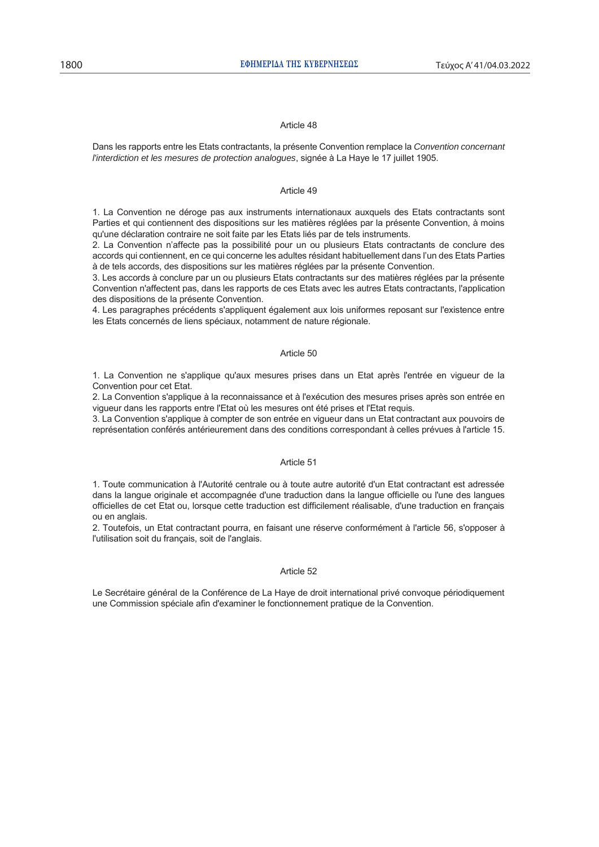Dans les rapports entre les Etats contractants, la présente Convention remplace la *Convention concernant l'interdiction et les mesures de protection analogues*, signée à La Haye le 17 juillet 1905.

#### Article 49

1. La Convention ne déroge pas aux instruments internationaux auxquels des Etats contractants sont Parties et qui contiennent des dispositions sur les matières réglées par la présente Convention, à moins qu'une déclaration contraire ne soit faite par les Etats liés par de tels instruments.

2. La Convention n'affecte pas la possibilité pour un ou plusieurs Etats contractants de conclure des accords qui contiennent, en ce qui concerne les adultes résidant habituellement dans l'un des Etats Parties à de tels accords, des dispositions sur les matières réglées par la présente Convention.

3. Les accords à conclure par un ou plusieurs Etats contractants sur des matières réglées par la présente Convention n'affectent pas, dans les rapports de ces Etats avec les autres Etats contractants, l'application des dispositions de la présente Convention.

4. Les paragraphes précédents s'appliquent également aux lois uniformes reposant sur l'existence entre les Etats concernés de liens spéciaux, notamment de nature régionale.

#### Article 50

1. La Convention ne s'applique qu'aux mesures prises dans un Etat après l'entrée en vigueur de la Convention pour cet Etat.

2. La Convention s'applique à la reconnaissance et à l'exécution des mesures prises après son entrée en vigueur dans les rapports entre l'Etat où les mesures ont été prises et l'Etat requis.

3. La Convention s'applique à compter de son entrée en vigueur dans un Etat contractant aux pouvoirs de représentation conférés antérieurement dans des conditions correspondant à celles prévues à l'article 15.

#### Article 51

1. Toute communication à l'Autorité centrale ou à toute autre autorité d'un Etat contractant est adressée dans la langue originale et accompagnée d'une traduction dans la langue officielle ou l'une des langues officielles de cet Etat ou, lorsque cette traduction est difficilement réalisable, d'une traduction en français ou en anglais.

2. Toutefois, un Etat contractant pourra, en faisant une réserve conformément à l'article 56, s'opposer à l'utilisation soit du français, soit de l'anglais.

# Article 52

Le Secrétaire général de la Conférence de La Haye de droit international privé convoque périodiquement une Commission spéciale afin d'examiner le fonctionnement pratique de la Convention.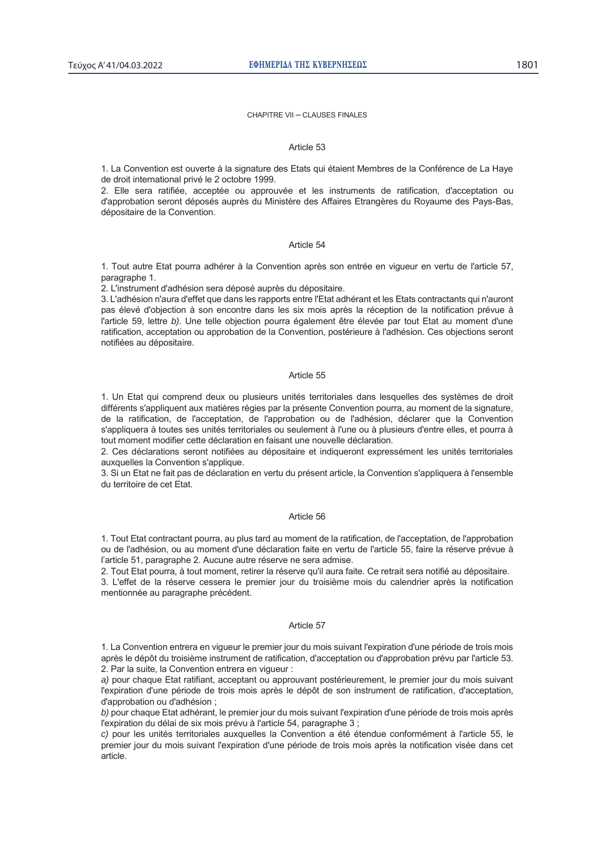#### CHAPITRE VII – CLAUSES FINALES

#### Article 53

1. La Convention est ouverte à la signature des Etats qui étaient Membres de la Conférence de La Haye de droit international privé le 2 octobre 1999.

2. Elle sera ratifiée, acceptée ou approuvée et les instruments de ratification, d'acceptation ou d'approbation seront déposés auprès du Ministère des Affaires Etrangères du Royaume des Pays-Bas, dépositaire de la Convention.

#### Article 54

1. Tout autre Etat pourra adhérer à la Convention après son entrée en vigueur en vertu de l'article 57, paragraphe 1.

2. L'instrument d'adhésion sera déposé auprès du dépositaire.

3. L'adhésion n'aura d'effet que dans les rapports entre l'Etat adhérant et les Etats contractants qui n'auront pas élevé d'objection à son encontre dans les six mois après la réception de la notification prévue à l'article 59, lettre *b)*. Une telle objection pourra également être élevée par tout Etat au moment d'une ratification, acceptation ou approbation de la Convention, postérieure à l'adhésion. Ces objections seront notifiées au dépositaire.

#### Article 55

1. Un Etat qui comprend deux ou plusieurs unités territoriales dans lesquelles des systèmes de droit différents s'appliquent aux matières régies par la présente Convention pourra, au moment de la signature, de la ratification, de l'acceptation, de l'approbation ou de l'adhésion, déclarer que la Convention s'appliquera à toutes ses unités territoriales ou seulement à l'une ou à plusieurs d'entre elles, et pourra à tout moment modifier cette déclaration en faisant une nouvelle déclaration.

2. Ces déclarations seront notifiées au dépositaire et indiqueront expressément les unités territoriales auxquelles la Convention s'applique.

3. Si un Etat ne fait pas de déclaration en vertu du présent article, la Convention s'appliquera à l'ensemble du territoire de cet Etat.

#### Article 56

1. Tout Etat contractant pourra, au plus tard au moment de la ratification, de l'acceptation, de l'approbation ou de l'adhésion, ou au moment d'une déclaration faite en vertu de l'article 55, faire la réserve prévue à l'article 51, paragraphe 2. Aucune autre réserve ne sera admise.

2. Tout Etat pourra, à tout moment, retirer la réserve qu'il aura faite. Ce retrait sera notifié au dépositaire.

3. L'effet de la réserve cessera le premier jour du troisième mois du calendrier après la notification mentionnée au paragraphe précédent.

#### Article 57

1. La Convention entrera en vigueur le premier jour du mois suivant l'expiration d'une période de trois mois après le dépôt du troisième instrument de ratification, d'acceptation ou d'approbation prévu par l'article 53. 2. Par la suite, la Convention entrera en vigueur :

*a)* pour chaque Etat ratifiant, acceptant ou approuvant postérieurement, le premier jour du mois suivant l'expiration d'une période de trois mois après le dépôt de son instrument de ratification, d'acceptation, d'approbation ou d'adhésion ;

*b)* pour chaque Etat adhérant, le premier jour du mois suivant l'expiration d'une période de trois mois après l'expiration du délai de six mois prévu à l'article 54, paragraphe 3 ;

*c)* pour les unités territoriales auxquelles la Convention a été étendue conformément à l'article 55, le premier jour du mois suivant l'expiration d'une période de trois mois après la notification visée dans cet article.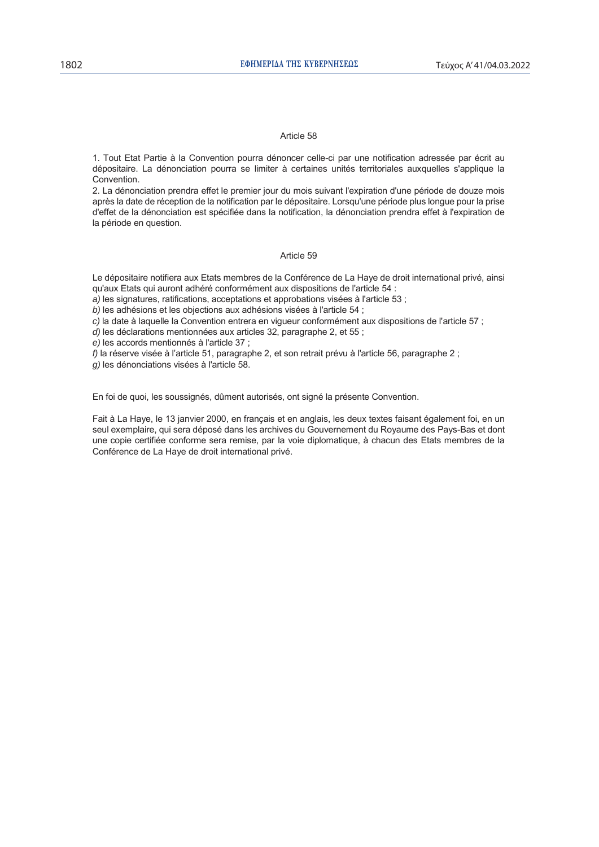1. Tout Etat Partie à la Convention pourra dénoncer celle-ci par une notification adressée par écrit au dépositaire. La dénonciation pourra se limiter à certaines unités territoriales auxquelles s'applique la Convention.

2. La dénonciation prendra effet le premier jour du mois suivant l'expiration d'une période de douze mois après la date de réception de la notification par le dépositaire. Lorsqu'une période plus longue pour la prise d'effet de la dénonciation est spécifiée dans la notification, la dénonciation prendra effet à l'expiration de la période en question.

# Article 59

Le dépositaire notifiera aux Etats membres de la Conférence de La Haye de droit international privé, ainsi qu'aux Etats qui auront adhéré conformément aux dispositions de l'article 54 :

*a)* les signatures, ratifications, acceptations et approbations visées à l'article 53 ;

*b)* les adhésions et les objections aux adhésions visées à l'article 54 ;

*c)* la date à laquelle la Convention entrera en vigueur conformément aux dispositions de l'article 57 ;

*d)* les déclarations mentionnées aux articles 32, paragraphe 2, et 55 ;

*e)* les accords mentionnés à l'article 37 ;

*f)* la réserve visée à l'article 51, paragraphe 2, et son retrait prévu à l'article 56, paragraphe 2 ;

*g)* les dénonciations visées à l'article 58.

En foi de quoi, les soussignés, dûment autorisés, ont signé la présente Convention.

Fait à La Haye, le 13 janvier 2000, en français et en anglais, les deux textes faisant également foi, en un seul exemplaire, qui sera déposé dans les archives du Gouvernement du Royaume des Pays-Bas et dont une copie certifiée conforme sera remise, par la voie diplomatique, à chacun des Etats membres de la Conférence de La Haye de droit international privé.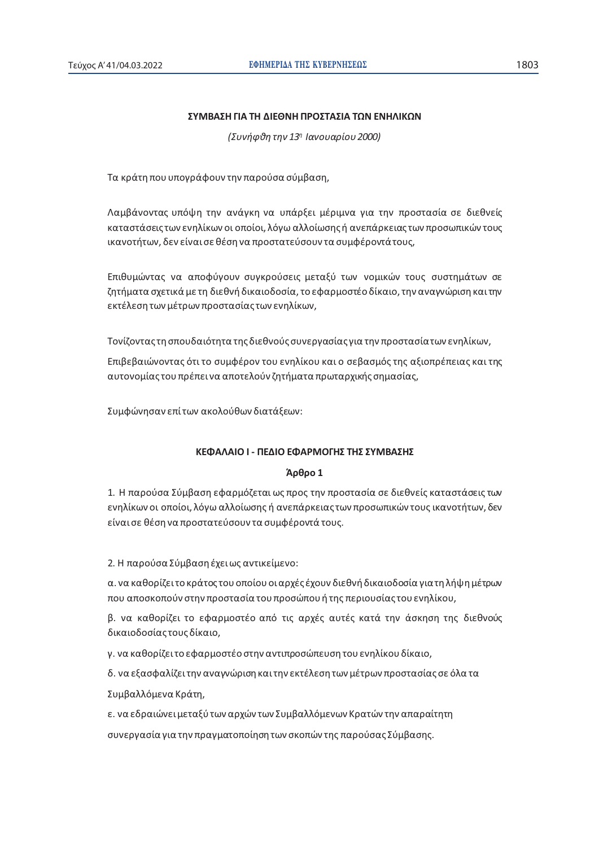# ΣΥΜΒΑΣΗ ΓΙΑ ΤΗ ΔΙΕΘΝΗ ΠΡΟΣΤΑΣΙΑ ΤΩΝ ΕΝΗΛΙΚΩΝ

*;ɇʐʆɼʔɽɻʏɻʆϭϯɻȻɲʆʉʐɲʌʀʉʐϮϬϬϬͿ*

Tα κράτη που υπογράφουν την παρούσα σύμβαση,

Λαμβάνοντας υπόψη την ανάγκη να υπάρξει μέριμνα για την προστασία σε διεθνείς καταστάσεις των ενηλίκων οι οποίοι, λόγω αλλοίωσης ή ανεπάρκειας των προσωπικών τους ικανοτήτων, δεν είναι σε θέση να προστατεύσουν τα συμφέροντά τους,

Επιθυμώντας να αποφύγουν συγκρούσεις μεταξύ των νομικών τους συστημάτων σε ζητήματα σχετικά με τη διεθνή δικαιοδοσία, το εφαρμοστέο δίκαιο, την αναγνώριση και την εκτέλεση των μέτρων προστασίας των ενηλίκων,

Τονίζοντας τη σπουδαιότητα της διεθνούς συνεργασίας για την προστασία των ενηλίκων,

Επιβεβαιώνοντας ότι το συμφέρον του ενηλίκου και ο σεβασμός της αξιοπρέπειας και της αυτονομίας του πρέπει να αποτελούν ζητήματα πρωταρχικής σημασίας,

Συμφώνησαν επίτων ακολούθων διατάξεων:

# **ȾȵɌȰȿȰȻɃ/-ɅȵȴȻɃȵɌȰɆɀɃȳȸɇɈȸɇɇɉɀȲȰɇȸɇ**

#### $$

1. Η παρούσα Σύμβαση εφαρμόζεται ως προς την προστασία σε διεθνείς καταστάσεις των ενηλίκων οι οποίοι, λόγω αλλοίωσης ή ανεπάρκειας των προσωπικών τους ικανοτήτων, δεν είναι σε θέση να προστατεύσουν τα συμφέροντά τους.

2. Η παρούσα Σύμβαση έχει ως αντικείμενο:

α. να καθορίζει το κράτος του οποίου οι αρχές έχουν διεθνή δικαιοδοσία για τη λήψη μέτρων που αποσκοπούν στην προστασία του προσώπου ή της περιουσίας του ενηλίκου,

β. να καθορίζει το εφαρμοστέο από τις αρχές αυτές κατά την άσκηση της διεθνούς δικαιοδοσίας τους δίκαιο,

γ. να καθορίζει το εφαρμοστέο στην αντιπροσώπευση του ενηλίκου δίκαιο,

δ. να εξασφαλίζει την αναγνώριση και την εκτέλεση των μέτρων προστασίας σε όλα τα

Συμβαλλόμενα Κράτη,

ε, να εδραιώνει μεταξύ των αρχών των Συμβαλλόμενων Κρατών την απαραίτητη

συνεργασία για την πραγματοποίηση των σκοπών της παρούσας Σύμβασης.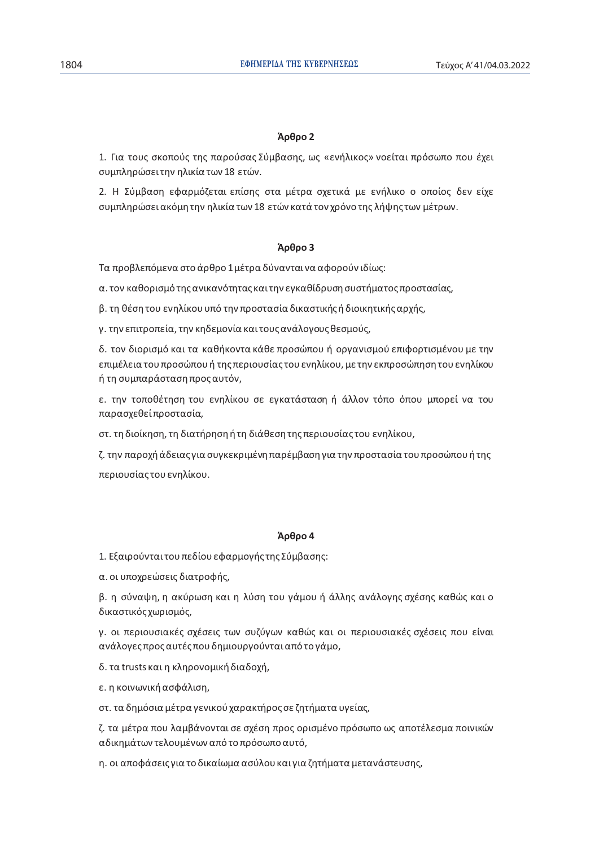# $$

1. Για τους σκοπούς της παρούσας Σύμβασης, ως «ενήλικος» νοείται πρόσωπο που έχει συμπληρώσει την ηλικία των 18 ετών.

2. Η Σύμβαση εφαρμόζεται επίσης στα μέτρα σχετικά με ενήλικο ο οποίος δεν είχε συμπληρώσει ακόμη την ηλικία των 18 ετών κατά τον χρόνο της λήψης των μέτρων.

# $A$ ρθρο 3

Tα προβλεπόμενα στο άρθρο 1 μέτρα δύνανται να αφορούν ιδίως:

α. τον καθορισμό της ανικανότητας και την εγκαθίδρυση συστήματος προστασίας,

β. τη θέση του ενηλίκου υπό την προστασία δικαστικής ή διοικητικής αρχής,

γ. την επιτροπεία, την κηδεμονία και τους ανάλογους θεσμούς,

δ. τον διορισμό και τα καθήκοντα κάθε προσώπου ή οργανισμού επιφορτισμένου με την επιμέλεια του προσώπου ή της περιουσίας του ενηλίκου, με την εκπροσώπηση του ενηλίκου ή τη συμπαράσταση προς αυτόν,

ε, την τοποθέτηση του ενηλίκου σε εγκατάσταση ή άλλον τόπο όπου μπορεί να του παρασχεθεί προστασία,

στ. τη διοίκηση, τη διατήρηση ή τη διάθεση της περιουσίας του ενηλίκου,

ζ. την παροχή άδειας για συγκεκριμένη παρέμβαση για την προστασία του προσώπου ή της περιουσίας του ενηλίκου.

# $$

1. Εξαιρούνται του πεδίου εφαρμογής της Σύμβασης:

α. οι υποχρεώσεις διατροφής,

β, η σύναψη, η ακύρωση και η λύση του γάμου ή άλλης ανάλογης σχέσης καθώς και ο δικαστικός χωρισμός,

γ. οι περιουσιακές σχέσεις των συζύγων καθώς και οι περιουσιακές σχέσεις που είναι aνάλογες προς αυτές που δημιουργούνται από το γάμο,

δ. τα trusts και η κληρονομική διαδοχή,

ε. η κοινωνική ασφάλιση,

<u>στ. τα δημόσια μέτρα γενικού χαρακτήρος σε ζητήματα υγείας,</u>

ζ. τα μέτρα που λαμβάνονται σε σχέση προς ορισμένο πρόσωπο ως αποτέλεσμα ποινικών aδικημάτων τελουμένων από το πρόσωπο αυτό,

η. οι αποφάσεις για το δικαίωμα ασύλου και για ζητήματα μετανάστευσης,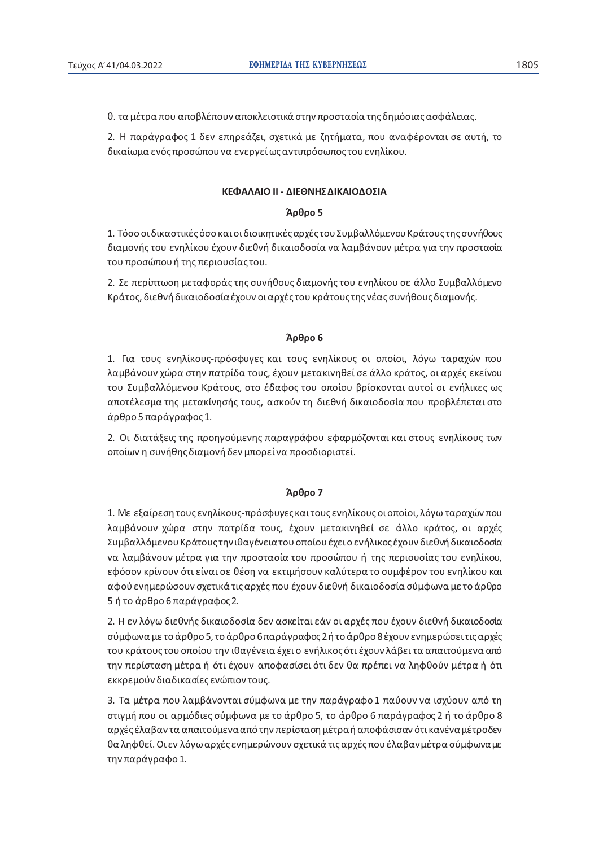θ. τα μέτρα που αποβλέπουν αποκλειστικά στην προστασία της δημόσιας ασφάλειας.

2. Η παράγραφος 1 δεν επηρεάζει, σχετικά με ζητήματα, που αναφέρονται σε αυτή, το δικαίωμα ενός προσώπου να ενεργεί ως αντιπρόσωπος του ενηλίκου.

# ΚΕΦΑΛΑΙΟ ΙΙ - ΔΙΕΘΝΗΣ ΔΙΚΑΙΟΔΟΣΙΑ

# $$

1. Τόσο οι δικαστικές όσο και οι διοικητικές αρχές του Συμβαλλόμενου Κράτους της συνήθους διαμονής του ενηλίκου έχουν διεθνή δικαιοδοσία να λαμβάνουν μέτρα για την προστασία του προσώπου ή της περιουσίας του.

2. Σε περίπτωση μεταφοράς της συνήθους διαμονής του ενηλίκου σε άλλο Συμβαλλόμενο Κράτος, διεθνή δικαιοδοσία έχουν οι αρχές του κράτους της νέας συνήθους διαμονής.

# $$

1. Για τους ενηλίκους-πρόσφυγες και τους ενηλίκους οι οποίοι, λόγω ταραχών που λαμβάνουν χώρα στην πατρίδα τους, έχουν μετακινηθεί σε άλλο κράτος, οι αρχές εκείνου του Συμβαλλόμενου Κράτους, στο έδαφος του οποίου βρίσκονται αυτοί οι ενήλικες ως αποτέλεσμα της μετακίνησής τους, ασκούν τη διεθνή δικαιοδοσία που προβλέπεται στο άρθρο 5 παράγραφος 1.

2. Οι διατάξεις της προηγούμενης παραγράφου εφαρμόζονται και στους ενηλίκους των <u>οποίων η συνήθης διαμονή δεν μπορεί να προσδιοριστεί.</u>

# $$

1. Με εξαίρεση τους ενηλίκους-πρόσφυγες και τους ενηλίκους οι οποίοι, λόγω ταραχών που λαμβάνουν χώρα στην πατρίδα τους, έχουν μετακινηθεί σε άλλο κράτος, οι αρχές Συμβαλλόμενου Κράτους την ιθαγένεια του οποίου έχει ο ενήλικος έχουν διεθνή δικαιοδοσία να λαμβάνουν μέτρα για την προστασία του προσώπου ή της περιουσίας του ενηλίκου, εφόσον κρίνουν ότι είναι σε θέση να εκτιμήσουν καλύτερα το συμφέρον του ενηλίκου και αφού ενημερώσουν σχετικά τις αρχές που έχουν διεθνή δικαιοδοσία σύμφωνα με το άρθρο 5 ή το άρθρο 6 παράγραφος 2.

2. Η εν λόγω διεθνής δικαιοδοσία δεν ασκείται εάν οι αρχές που έχουν διεθνή δικαιοδοσία σύμφωνα με το άρθρο 5, το άρθρο 6 παράγραφος 2 ή το άρθρο 8 έχουν ενημερώσει τις αρχές του κράτους του οποίου την ιθαγένεια έχει ο ενήλικος ότι έχουν λάβει τα απαιτούμενα από την περίσταση μέτρα ή ότι έχουν αποφασίσει ότι δεν θα πρέπει να ληφθούν μέτρα ή ότι εκκρεμούν διαδικασίες ενώπιον τους.

3. Τα μέτρα που λαμβάνονται σύμφωνα με την παράγραφο 1 παύουν να ισχύουν από τη στιγμή που οι αρμόδιες σύμφωνα με το άρθρο 5, το άρθρο 6 παράγραφος 2 ή το άρθρο 8 αρχές έλαβαν τα απαιτούμενα από την περίσταση μέτρα ή αποφάσισαν ότι κανένα μέτροδεν θα ληφθεί. Οι εν λόγω αρχές ενημερώνουν σχετικά τις αρχές που έλαβαν μέτρα σύμφωνα με την παράγραφο 1.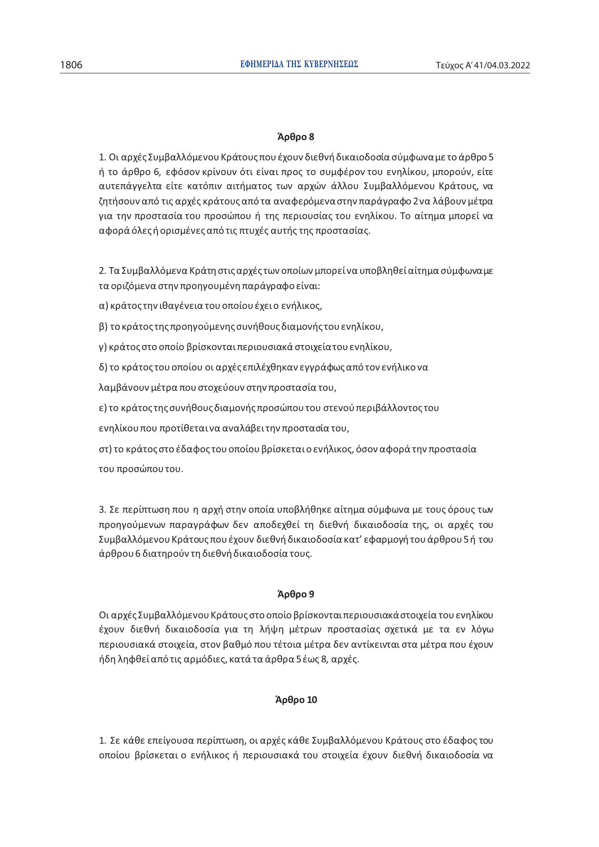# $A$ ρθρο 8

1. Οι αρχές Συμβαλλόμενου Κράτους που έχουν διεθνή δικαιοδοσία σύμφωνα με το άρθρο 5 ή το άρθρο 6, εφόσον κρίνουν ότι είναι προς το συμφέρον του ενηλίκου, μπορούν, είτε αυτεπάγγελτα είτε κατόπιν αιτήματος των αρχών άλλου Συμβαλλόμενου Κράτους, να ζητήσουν από τις αρχές κράτους από τα αναφερόμενα στην παράγραφο 2 να λάβουν μέτρα για την προστασία του προσώπου ή της περιουσίας του ενηλίκου. Το αίτημα μπορεί να aφορά όλες ή ορισμένες από τις πτυχές αυτής της προστασίας.

2. Τα Συμβαλλόμενα Κράτη στις αρχές των οποίων μπορεί να υποβληθεί αίτημα σύμφωνα με τα οριζόμενα στην προηγουμένη παράγραφο είναι:

a) κράτος την ιθαγένεια του οποίου έχει ο ενήλικος,

 $\beta$ ) το κράτος της προηγούμενης συνήθους διαμονής του ενηλίκου,

γ) κράτος στο οποίο βρίσκονται περιουσιακά στοιχεία του ενηλίκου,

δ) το κράτος του οποίου οι αρχές επιλέχθηκαν εγγράφως από τον ενήλικο να

λαμβάνουν μέτρα που στοχεύουν στην προστασία του,

ε) το κράτος της συνήθους διαμονής προσώπου του στενού περιβάλλοντος του

ενηλίκου που προτίθεται να αναλάβει την προστασία του,

στ) το κράτος στο έδαφος του οποίου βρίσκεται ο ενήλικος, όσον αφορά την προστασία του προσώπου του.

3. Σε περίπτωση που η αρχή στην οποία υποβλήθηκε αίτημα σύμφωνα με τους όρους των προηγούμενων παραγράφων δεν αποδεχθεί τη διεθνή δικαιοδοσία της, οι αρχές του Συμβαλλόμενου Κράτους που έχουν διεθνή δικαιοδοσία κατ' εφαρμογή του άρθρου 5 ή του άρθρου 6 διατηρούν τη διεθνή δικαιοδοσία τους.

# $$

Οι αρχές Συμβαλλόμενου Κράτους στο οποίο βρίσκονται περιουσιακά στοιχεία του ενηλίκου έχουν διεθνή δικαιοδοσία για τη λήψη μέτρων προστασίας σχετικά με τα εν λόγω περιουσιακά στοιχεία, στον βαθμό που τέτοια μέτρα δεν αντίκεινται στα μέτρα που έχουν ήδη ληφθεί από τις αρμόδιες, κατά τα άρθρα 5 έως 8, αρχές.

# $$

1. Σε κάθε επείγουσα περίπτωση, οι αρχές κάθε Συμβαλλόμενου Κράτους στο έδαφος του οποίου βρίσκεται ο ενήλικος ή περιουσιακά του στοιχεία έχουν διεθνή δικαιοδοσία να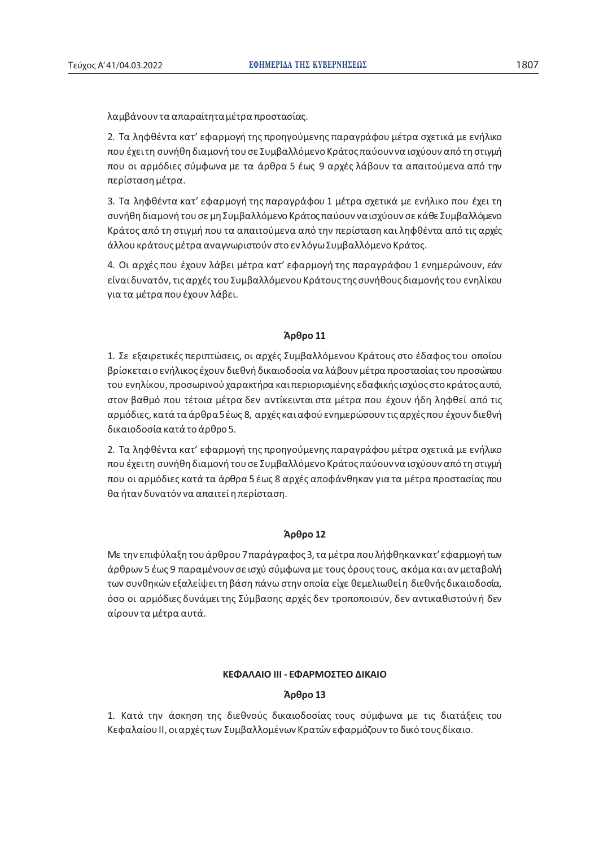λαμβάνουν τα απαραίτητα μέτρα προστασίας.

2. Τα ληφθέντα κατ' εφαρμογή της προηγούμενης παραγράφου μέτρα σχετικά με ενήλικο που έχει τη συνήθη διαμονή του σε Συμβαλλόμενο Κράτος παύουν να ισχύουν από τη στιγμή που οι αρμόδιες σύμφωνα με τα άρθρα 5 έως 9 αρχές λάβουν τα απαιτούμενα από την περίσταση μέτρα.

3. Τα ληφθέντα κατ' εφαρμογή της παραγράφου 1 μέτρα σχετικά με ενήλικο που έχει τη συνήθη διαμονή του σε μη Συμβαλλόμενο Κράτος παύουν να ισχύουν σε κάθε Συμβαλλόμενο Κράτος από τη στιγμή που τα απαιτούμενα από την περίσταση και ληφθέντα από τις αρχές άλλου κράτους μέτρα αναγνωριστούν στο εν λόγω Συμβαλλόμενο Κράτος.

4. Οι αρχές που έχουν λάβει μέτρα κατ' εφαρμογή της παραγράφου 1 ενημερώνουν, εάν είναι δυνατόν, τις αρχές του Συμβαλλόμενου Κράτους της συνήθους διαμονής του ενηλίκου για τα μέτρα που έχουν λάβει.

# $A$ ρθρο 11

1. Σε εξαιρετικές περιπτώσεις, οι αρχές Συμβαλλόμενου Κράτους στο έδαφος του οποίου βρίσκεται ο ενήλικος έχουν διεθνή δικαιοδοσία να λάβουν μέτρα προστασίας του προσώπου του ενηλίκου, προσωρινού χαρακτήρα και περιορισμένης εδαφικής ισχύος στο κράτος αυτό, στον βαθμό που τέτοια μέτρα δεν αντίκεινται στα μέτρα που έχουν ήδη ληφθεί από τις αρμόδιες, κατά τα άρθρα 5 έως 8, αρχές και αφού ενημερώσουν τις αρχές που έχουν διεθνή δικαιοδοσία κατά το άρθρο 5.

2. Τα ληφθέντα κατ' εφαρμογή της προηγούμενης παραγράφου μέτρα σχετικά με ενήλικο που έχει τη συνήθη διαμονή του σε Συμβαλλόμενο Κράτος παύουν να ισχύουν από τη στιγμή που οι αρμόδιες κατά τα άρθρα 5 έως 8 αρχές αποφάνθηκαν για τα μέτρα προστασίας που θα ήταν δυνατόν να απαιτεί η περίσταση.

# $$

Με την επιφύλαξη του άρθρου 7 παράγραφος 3, τα μέτρα που λήφθηκαν κατ' εφαρμογή των άρθρων 5 έως 9 παραμένουν σε ισχύ σύμφωνα με τους όρους τους, ακόμα και αν μεταβολή των συνθηκών εξαλείψει τη βάση πάνω στην οποία είχε θεμελιωθεί η διεθνής δικαιοδοσία, όσο οι αρμόδιες δυνάμει της Σύμβασης αρχές δεν τροποποιούν, δεν αντικαθιστούν ή δεν αίρουν τα μέτρα αυτά.

# KEΦΑΛΑΙΟ ΙΙΙ - ΕΦΑΡΜΟΣΤΕΟ ΔΙΚΑΙΟ

# $$

1. Κατά την άσκηση της διεθνούς δικαιοδοσίας τους σύμφωνα με τις διατάξεις του Kεφαλαίου II, οι αρχές των Συμβαλλομένων Κρατών εφαρμόζουν το δικό τους δίκαιο.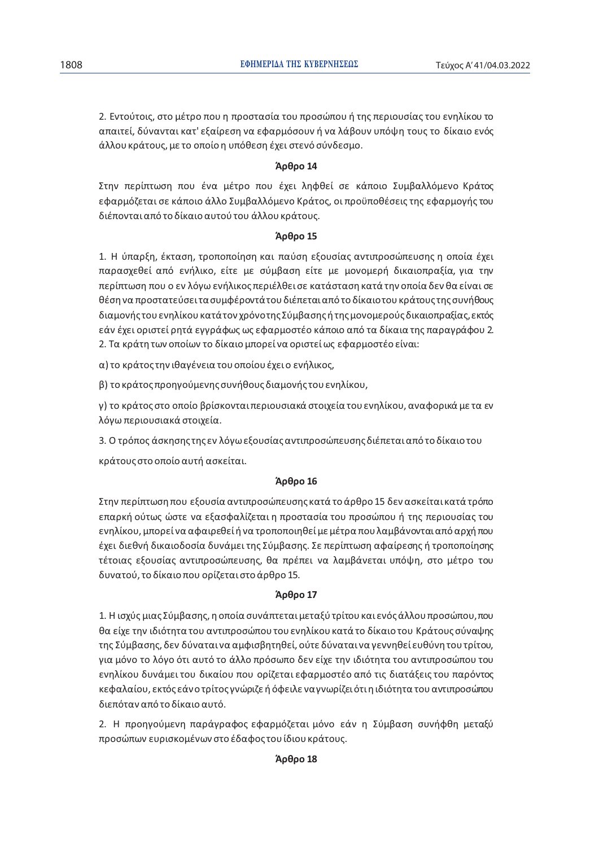2. Εντούτοις, στο μέτρο που η προστασία του προσώπου ή της περιουσίας του ενηλίκου το απαιτεί, δύνανται κατ' εξαίρεση να εφαρμόσουν ή να λάβουν υπόψη τους το δίκαιο ενός άλλου κράτους, με το οποίο η υπόθεση έχει στενό σύνδεσμο.

# $A$ ρθρο 14

Στην περίπτωση που ένα μέτρο που έχει ληφθεί σε κάποιο Συμβαλλόμενο Κράτος εφαρμόζεται σε κάποιο άλλο Συμβαλλόμενο Κράτος, οι προϋποθέσεις της εφαρμογής του διέπονται από το δίκαιο αυτού του άλλου κράτους.

# $$

1. Η ύπαρξη, έκταση, τροποποίηση και παύση εξουσίας αντιπροσώπευσης η οποία έχει παρασχεθεί από ενήλικο, είτε με σύμβαση είτε με μονομερή δικαιοπραξία, για την περίπτωση που ο εν λόγω ενήλικος περιέλθει σε κατάσταση κατά την οποία δεν θα είναι σε θέση να προστατεύσει τα συμφέροντά του διέπεται από το δίκαιο του κράτους της συνήθους διαμονής του ενηλίκου κατά τον χρόνοτης Σύμβασης ή της μονομερούς δικαιοπραξίας, εκτός εάν έχει οριστεί ρητά εγγράφως ως εφαρμοστέο κάποιο από τα δίκαια της παραγράφου 2. 2. Τα κράτη των οποίων το δίκαιο μπορεί να οριστεί ως εφαρμοστέο είναι:

a) το κράτος την ιθαγένεια του οποίου έχει ο ενήλικος,

 $\beta$ ) το κράτος προηγούμενης συνήθους διαμονής του ενηλίκου,

γ) το κράτος στο οποίο βρίσκονται περιουσιακά στοιχεία του ενηλίκου, αναφορικά με τα εν λόγω περιουσιακά στοιχεία.

3. Ο τρόπος άσκησης της εν λόγω εξουσίας αντιπροσώπευσης διέπεται από το δίκαιο του

κράτους στο οποίο αυτή ασκείται.

# $A$ ρθρο 16

Στην περίπτωση που εξουσία αντιπροσώπευσης κατά το άρθρο 15 δεν ασκείται κατά τρόπο επαρκή ούτως ώστε να εξασφαλίζεται η προστασία του προσώπου ή της περιουσίας του ενηλίκου, μπορεί να αφαιρεθεί ή να τροποποιηθεί με μέτρα που λαμβάνονται από αρχή που έχει διεθνή δικαιοδοσία δυνάμει της Σύμβασης. Σε περίπτωση αφαίρεσης ή τροποποίησης τέτοιας εξουσίας αντιπροσώπευσης, θα πρέπει να λαμβάνεται υπόψη, στο μέτρο του δυνατού, το δίκαιο που ορίζεται στο άρθρο 15.

# $$

1. Η ισχύς μιας Σύμβασης, η οποία συνάπτεται μεταξύ τρίτου και ενός άλλου προσώπου, που θα είχε την ιδιότητα του αντιπροσώπου του ενηλίκου κατά το δίκαιο του Κράτους σύναψης της Σύμβασης, δεν δύναταινα αμφισβητηθεί, ούτε δύναται να γεννηθεί ευθύνη του τρίτου, για μόνο το λόγο ότι αυτό το άλλο πρόσωπο δεν είχε την ιδιότητα του αντιπροσώπου του ενηλίκου δυνάμει του δικαίου που ορίζεται εφαρμοστέο από τις διατάξεις του παρόντος κεφαλαίου, εκτός εάν ο τρίτος γνώριζε ή όφειλε να γνωρίζει ότι η ιδιότητα του αντιπροσώπου διεπόταν από το δίκαιο αυτό.

2. Η προηγούμενη παράγραφος εφαρμόζεται μόνο εάν η Σύμβαση συνήφθη μεταξύ προσώπων ευρισκομένων στο έδαφος του ίδιου κράτους.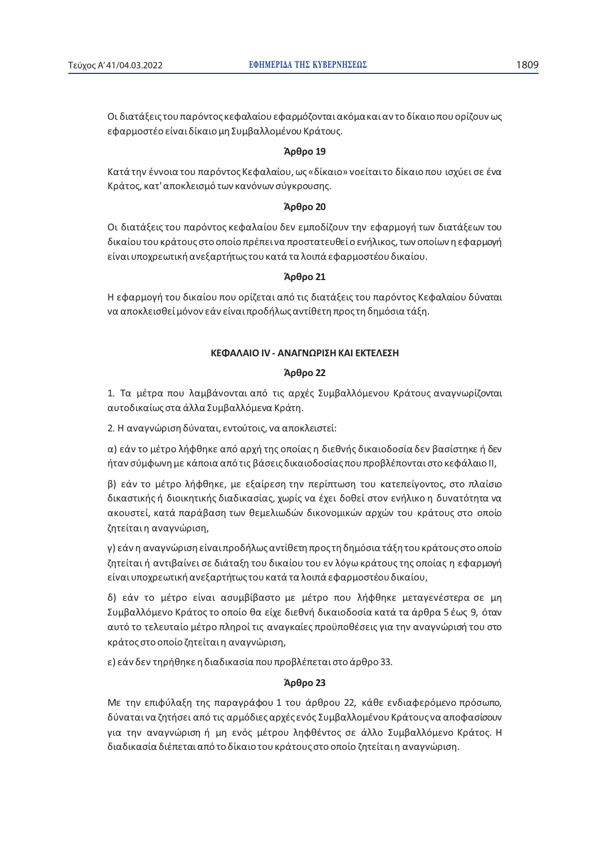Οι διατάξεις του παρόντος κεφαλαίου εφαρμόζονται ακόμα και αν το δίκαιο που ορίζουν ως εφαρμοστέο είναι δίκαιο μη Συμβαλλομένου Κράτους.

# $A$ ρθρο 19

Κατά την έννοια του παρόντος Κεφαλαίου, ως «δίκαιο» νοείται το δίκαιο που ισχύει σε ένα Κράτος, κατ' αποκλεισμό των κανόνων σύγκρουσης.

# $$

Οι διατάξεις του παρόντος κεφαλαίου δεν εμποδίζουν την εφαρμογή των διατάξεων του δικαίου του κράτους στο οποίο πρέπει να προστατευθεί ο ενήλικος, των οποίων η εφαρμογή  $\varepsilon$ ίναι υποχρεωτική ανεξαρτήτως του κατά τα λοιπά εφαρμοστέου δικαίου.

# $$

Η εφαρμογή του δικαίου που ορίζεται από τις διατάξεις του παρόντος Κεφαλαίου δύναται να αποκλεισθεί μόνον εάν είναι προδήλως αντίθετη προς τη δημόσια τάξη.

# KEΦΑΛΑΙΟ IV - ΑΝΑΓΝΩΡΙΣΗ ΚΑΙ ΕΚΤΕΛΕΣΗ

# $$

1. Τα μέτρα που λαμβάνονται από τις αρχές Συμβαλλόμενου Κράτους αναγνωρίζονται αυτοδικαίως στα άλλα Συμβαλλόμενα Κράτη.

2. Η αναγνώριση δύναται, εντούτοις, να αποκλειστεί:

a) εάν το μέτρο λήφθηκε από αρχή της οποίας η διεθνής δικαιοδοσία δεν βασίστηκε ή δεν ήταν σύμφωνη με κάποια από τις βάσεις δικαιοδοσίας που προβλέπονται στο κεφάλαιο ΙΙ,

β) εάν το μέτρο λήφθηκε, με εξαίρεση την περίπτωση του κατεπείγοντος, στο πλαίσω δικαστικής ή διοικητικής διαδικασίας, χωρίς να έχει δοθεί στον ενήλικο η δυνατότητα να ακουστεί, κατά παράβαση των θεμελιωδών δικονομικών αρχών του κράτους στο οποίο ζητείται η αναγνώριση,

γ) εάν η αναγνώριση είναι προδήλως αντίθετη προς τη δημόσια τάξη του κράτους στο οποίο ζητείται ή αντιβαίνει σε διάταξη του δικαίου του εν λόγω κράτους της οποίας η εφαρμογή είναι υποχρεωτική ανεξαρτήτως του κατά τα λοιπά εφαρμοστέου δικαίου,

δ) εάν το μέτρο είναι ασυμβίβαστο με μέτρο που λήφθηκε μεταγενέστερα σε μη Συμβαλλόμενο Κράτος το οποίο θα είχε διεθνή δικαιοδοσία κατά τα άρθρα 5 έως 9, όταν αυτό το τελευταίο μέτρο πληροί τις αναγκαίες προϋποθέσεις για την αναγνώρισή του στο κράτος στο οποίο ζητείται η αναγνώριση,

ε) εάν δεν τηρήθηκε η διαδικασία που προβλέπεται στο άρθρο 33.

# $$

Με την επιφύλαξη της παραγράφου 1 του άρθρου 22, κάθε ενδιαφερόμενο πρόσωπο, δύναται να ζητήσει από τις αρμόδιες αρχές ενός Συμβαλλομένου Κράτους να αποφασίσουν για την αναγνώριση ή μη ενός μέτρου ληφθέντος σε άλλο Συμβαλλόμενο Κράτος. Η διαδικασία διέπεται από το δίκαιο του κράτους στο οποίο ζητείται η αναγνώριση.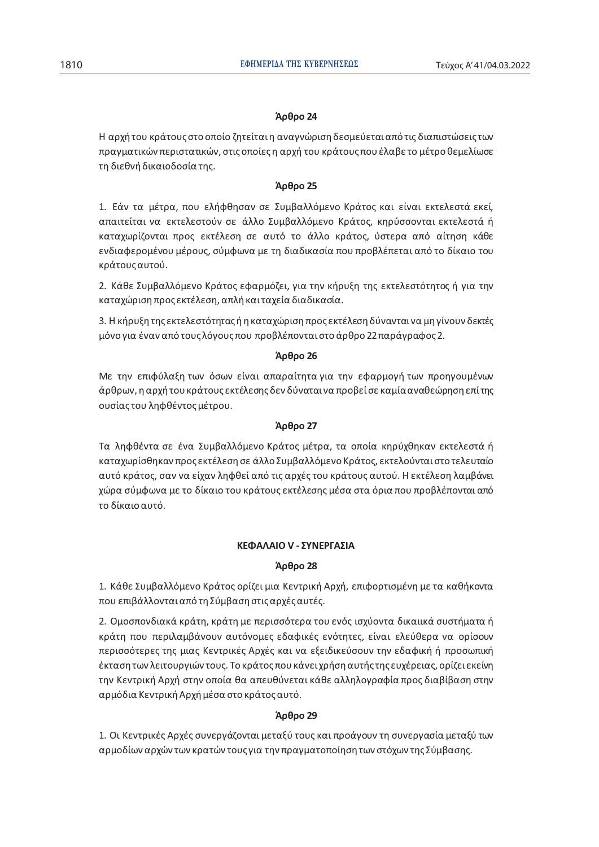# $$

H αρχή του κράτους στο οποίο ζητείται η αναγνώριση δεσμεύεται από τις διαπιστώσεις των πραγματικών περιστατικών, στις οποίες η αρχή του κράτους που έλαβε το μέτρο θεμελίωσε τη διεθνή δικαιοδοσία της.

# $$

1. Εάν τα μέτρα, που ελήφθησαν σε Συμβαλλόμενο Κράτος και είναι εκτελεστά εκεί, απαιτείται να εκτελεστούν σε άλλο Συμβαλλόμενο Κράτος, κηρύσσονται εκτελεστά ή καταχωρίζονται προς εκτέλεση σε αυτό το άλλο κράτος, ύστερα από αίτηση κάθε ενδιαφερομένου μέρους, σύμφωνα με τη διαδικασία που προβλέπεται από το δίκαιο του κράτους αυτού.

2. Κάθε Συμβαλλόμενο Κράτος εφαρμόζει, για την κήρυξη της εκτελεστότητος ή για την καταχώριση προς εκτέλεση, απλή και ταχεία διαδικασία.

3. Η κήρυξη της εκτελεστότητας ή η καταχώριση προς εκτέλεση δύνανται να μη γίνουν δεκτές μόνο για έναν από τους λόγους που προβλέπονται στο άρθρο 22 παράγραφος 2.

# $A$ ρθρο 26

Με την επιφύλαξη των όσων είναι απαραίτητα για την εφαρμογή των προηγουμένων άρθρων, η αρχή του κράτους εκτέλεσης δεν δύναται να προβεί σε καμία αναθεώρηση επί της ουσίας του ληφθέντος μέτρου.

# $$

Τα ληφθέντα σε ένα Συμβαλλόμενο Κράτος μέτρα, τα οποία κηρύχθηκαν εκτελεστά ή καταχωρίσθηκαν προς εκτέλεση σε άλλο Συμβαλλόμενο Κράτος, εκτελούνται στο τελευταίο αυτό κράτος, σαν να είχαν ληφθεί από τις αρχές του κράτους αυτού. Η εκτέλεση λαμβάνει χώρα σύμφωνα με το δίκαιο του κράτους εκτέλεσης μέσα στα όρια που προβλέπονται από το δίκαιο αυτό.

# KΕΦΑΛΑΙΟ V - ΣΥΝΕΡΓΑΣΙΑ

# $$

1. Κάθε Συμβαλλόμενο Κράτος ορίζει μια Κεντρική Αρχή, επιφορτισμένη με τα καθήκοντα που επιβάλλονται από τη Σύμβαση στις αρχές αυτές.

2. Ομοσπονδιακά κράτη, κράτη με περισσότερα του ενός ισχύοντα δικαιικά συστήματα ή κράτη που περιλαμβάνουν αυτόνομες εδαφικές ενότητες, είναι ελεύθερα να ορίσουν περισσότερες της μιας Κεντρικές Αρχές και να εξειδικεύσουν την εδαφική ή προσωπική έκταση των λειτουργιών τους. Το κράτος που κάνει χρήση αυτής της ευχέρειας, ορίζει εκείνη την Κεντρική Αρχή στην οποία θα απευθύνεται κάθε αλληλογραφία προς διαβίβαση στην αρμόδια Κεντρική Αρχή μέσα στο κράτος αυτό.

# $$

1. Οι Κεντρικές Αρχές συνεργάζονται μεταξύ τους και προάγουν τη συνεργασία μεταξύ των αρμοδίων αρχών των κρατών τους για την πραγματοποίηση των στόχων της Σύμβασης.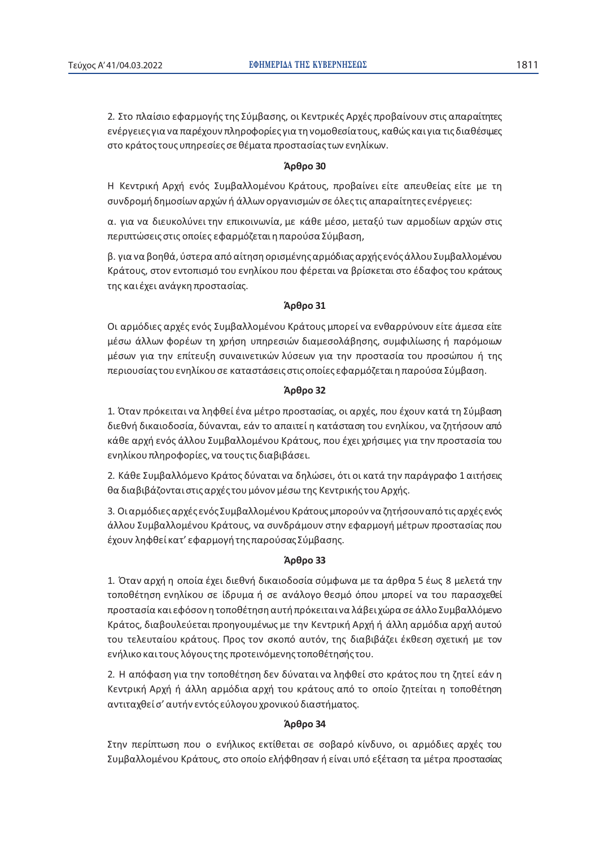2. Στο πλαίσιο εφαρμογής της Σύμβασης, οι Κεντρικές Αρχές προβαίνουν στις απαραίτητες ενέργειες για να παρέχουν πληροφορίες για τη νομοθεσία τους, καθώς και για τις διαθέσιμες στο κράτος τους υπηρεσίες σε θέματα προστασίας των ενηλίκων.

# $$

Η Κεντρική Αρχή ενός Συμβαλλομένου Κράτους, προβαίνει είτε απευθείας είτε με τη συνδρομή δημοσίων αρχών ή άλλων οργανισμών σε όλες τις απαραίτητες ενέργειες:

α. για να διευκολύνει την επικοινωνία, με κάθε μέσο, μεταξύ των αρμοδίων αρχών στις περιπτώσεις στις οποίες εφαρμόζεται η παρούσα Σύμβαση,

β. για να βοηθά, ύστερα από αίτηση ορισμένης αρμόδιας αρχής ενός άλλου Συμβαλλομένου Κράτους, στον εντοπισμό του ενηλίκου που φέρεται να βρίσκεται στο έδαφος του κράτους της και έχει ανάγκη προστασίας.

# $$

Οι αρμόδιες αρχές ενός Συμβαλλομένου Κράτους μπορεί να ενθαρρύνουν είτε άμεσα είτε μέσω άλλων φορέων τη χρήση υπηρεσιών διαμεσολάβησης, συμφιλίωσης ή παρόμοιων μέσων για την επίτευξη συναινετικών λύσεων για την προστασία του προσώπου ή της περιουσίας του ενηλίκου σε καταστάσεις στις οποίες εφαρμόζεται η παρούσα Σύμβαση.

# $$

1. Όταν πρόκειται να ληφθεί ένα μέτρο προστασίας, οι αρχές, που έχουν κατά τη Σύμβαση διεθνή δικαιοδοσία, δύνανται, εάν το απαιτεί η κατάσταση του ενηλίκου, να ζητήσουν από κάθε αρχή ενός άλλου Συμβαλλομένου Κράτους, που έχει χρήσιμες για την προστασία του ενηλίκου πληροφορίες, να τους τις διαβιβάσει.

2. Κάθε Συμβαλλόμενο Κράτος δύναται να δηλώσει, ότι οι κατά την παράγραφο 1 αιτήσεις θα διαβιβάζονται στις αρχές του μόνον μέσω της Κεντρικής του Αρχής.

3. Οι αρμόδιες αρχές ενός Συμβαλλομένου Κράτους μπορούν να ζητήσουν από τις αρχές ενός άλλου Συμβαλλομένου Κράτους, να συνδράμουν στην εφαρμογή μέτρων προστασίας που έχουν ληφθεί κατ' εφαρμογή της παρούσας Σύμβασης.

# $$

1. Όταν αρχή η οποία έχει διεθνή δικαιοδοσία σύμφωνα με τα άρθρα 5 έως 8 μελετά την τοποθέτηση ενηλίκου σε ίδρυμα ή σε ανάλογο θεσμό όπου μπορεί να του παρασχεθεί προστασία και εφόσον η τοποθέτηση αυτή πρόκειται να λάβει χώρα σε άλλο Συμβαλλόμενο Κράτος, διαβουλεύεται προηγουμένως με την Κεντρική Αρχή ή άλλη αρμόδια αρχή αυτού του τελευταίου κράτους. Προς τον σκοπό αυτόν, της διαβιβάζει έκθεση σχετική με τον ενήλικο και τους λόγους της προτεινόμενης τοποθέτησής του.

2. Η απόφαση για την τοποθέτηση δεν δύναται να ληφθεί στο κράτος που τη ζητεί εάν η Κεντρική Αρχή ή άλλη αρμόδια αρχή του κράτους από το οποίο ζητείται η τοποθέτηση aντιταχθεί σ' αυτήν εντός εύλογου χρονικού διαστήματος.

# $$

Στην περίπτωση που ο ενήλικος εκτίθεται σε σοβαρό κίνδυνο, οι αρμόδιες αρχές του Συμβαλλομένου Κράτους, στο οποίο ελήφθησαν ή είναι υπό εξέταση τα μέτρα προστασίας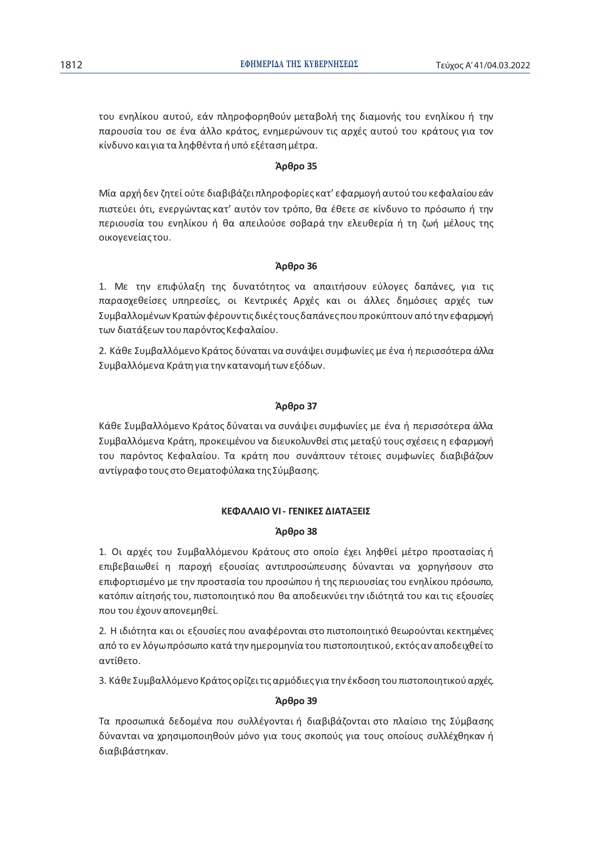του ενηλίκου αυτού, εάν πληροφορηθούν μεταβολή της διαμονής του ενηλίκου ή την παρουσία του σε ένα άλλο κράτος, ενημερώνουν τις αρχές αυτού του κράτους για τον κίνδυνο και για τα ληφθέντα ή υπό εξέταση μέτρα.

# $$

Μία αρχή δεν ζητεί ούτε διαβιβάζει πληροφορίες κατ' εφαρμογή αυτού του κεφαλαίου εάν πιστεύει ότι, ενεργώντας κατ' αυτόν τον τρόπο, θα έθετε σε κίνδυνο το πρόσωπο ή την περιουσία του ενηλίκου ή θα απειλούσε σοβαρά την ελευθερία ή τη ζωή μέλους της οικονενείας του.

# $$

1. Με την επιφύλαξη της δυνατότητος να απαιτήσουν εύλογες δαπάνες, για τις παρασχεθείσες υπηρεσίες, οι Κεντρικές Αρχές και οι άλλες δημόσιες αρχές των Συμβαλλομένων Κρατών φέρουν τις δικές τους δαπάνες που προκύπτουν από την εφαρμονή των διατάξεων του παρόντος Κεφαλαίου.

2. Κάθε Συμβαλλόμενο Κράτος δύναται να συνάψει συμφωνίες με ένα ή περισσότερα άλλα Συμβαλλόμενα Κράτη για την κατανομή των εξόδων.

# $$

Kάθε Συμβαλλόμενο Κράτος δύναται να συνάψει συμφωνίες με ένα ή περισσότερα άλλα Συμβαλλόμενα Κράτη, προκειμένου να διευκολυνθεί στις μεταξύ τους σχέσεις η εφαρμογή του παρόντος Κεφαλαίου. Τα κράτη που συνάπτουν τέτοιες συμφωνίες διαβιβάζουν αντίγραφο τους στο Θεματοφύλακα της Σύμβασης.

# KΕΦΑΛΑΙΟ VI - ΓΕΝΙΚΕΣ ΔΙΑΤΑΞΕΙΣ

# $$

1. Οι αρχές του Συμβαλλόμενου Κράτους στο οποίο έχει ληφθεί μέτρο προστασίας ή επιβεβαιωθεί η παροχή εξουσίας αντιπροσώπευσης δύνανται να χορηγήσουν στο επιφορτισμένο με την προστασία του προσώπου ή της περιουσίας του ενηλίκου πρόσωπο, κατόπιν αίτησής του, πιστοποιητικό που θα αποδεικνύει την ιδιότητά του και τις εξουσίες που του έχουν απονεμηθεί.

2. Η ιδιότητα και οι εξουσίες που αναφέρονται στο πιστοποιητικό θεωρούνται κεκτημένες από το εν λόγω πρόσωπο κατά την ημερομηνία του πιστοποιητικού, εκτός αν αποδειχθεί το αντίθετο.

3. Κάθε Συμβαλλόμενο Κράτος ορίζει τις αρμόδιες για την έκδοση του πιστοποιητικού αρχές.

# $$

Τα προσωπικά δεδομένα που συλλέγονται ή διαβιβάζονται στο πλαίσιο της Σύμβασης δύνανται να χρησιμοποιηθούν μόνο για τους σκοπούς για τους οποίους συλλέχθηκαν ή διαβιβάστηκαν.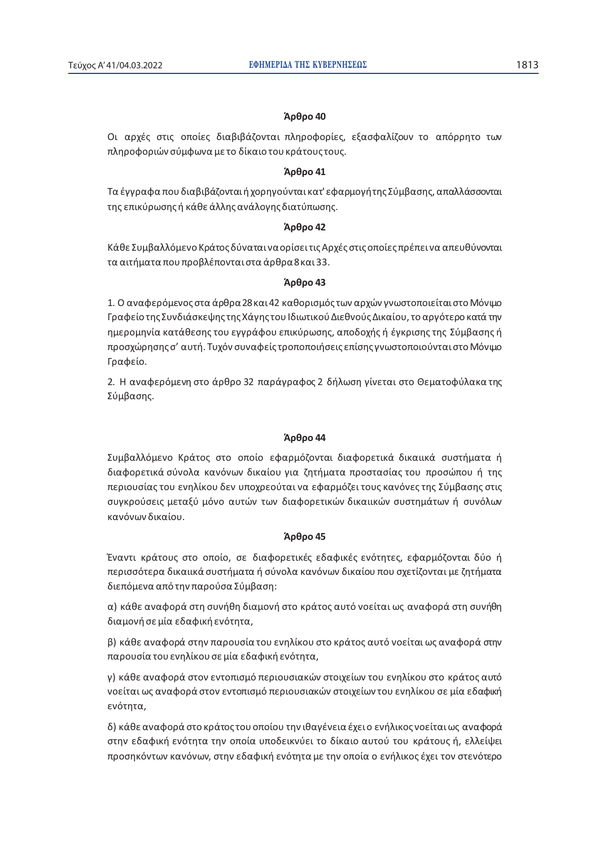# $$

Οι αρχές στις οποίες διαβιβάζονται πληροφορίες, εξασφαλίζουν το απόρρητο των πληροφοριών σύμφωνα με το δίκαιο του κράτους τους.

# $$

Τα έγγραφα που διαβιβάζονται ή χορηγούνται κατ' εφαρμογή της Σύμβασης, απαλλάσσονται της επικύρωσης ή κάθε άλλης ανάλογης διατύπωσης.

#### $$

Kάθε Συμβαλλόμενο Κράτος δύναται να ορίσει τις Αρχές στις οποίες πρέπει να απευθύνονται τα αιτήματα που προβλέπονται στα άρθρα 8 και 33.

# $$

1. Ο αναφερόμενος στα άρθρα 28 και 42 καθορισμός των αρχών γνωστοποιείται στο Μόνιμο Γραφείο της Συνδιάσκεψης της Χάγης του Ιδιωτικού Διεθνούς Δικαίου, το αργότερο κατά την ημερομηνία κατάθεσης του εγγράφου επικύρωσης, αποδοχής ή έγκρισης της Σύμβασης ή προσχώρησης σ' αυτή. Τυχόν συναφείς τροποποιήσεις επίσης γνωστοποιούνται στο Μόνιμο Γραφείο.

2. Η αναφερόμενη στο άρθρο 32 παράγραφος 2 δήλωση γίνεται στο Θεματοφύλακα της Σύμβασης.

# $$

Συμβαλλόμενο Κράτος στο οποίο εφαρμόζονται διαφορετικά δικαιικά συστήματα ή διαφορετικά σύνολα κανόνων δικαίου για ζητήματα προστασίας του προσώπου ή της περιουσίας του ενηλίκου δεν υποχρεούται να εφαρμόζει τους κανόνες της Σύμβασης στις συγκρούσεις μεταξύ μόνο αυτών των διαφορετικών δικαιικών συστημάτων ή συνόλων κανόνων δικαίου.

# $$

Έναντι κράτους στο οποίο, σε διαφορετικές εδαφικές ενότητες, εφαρμόζονται δύο ή περισσότερα δικαιικά συστήματα ή σύνολα κανόνων δικαίου που σχετίζονται με ζητήματα διεπόμενα από την παρούσα Σύμβαση:

α) κάθε αναφορά στη συνήθη διαμονή στο κράτος αυτό νοείται ως αναφορά στη συνήθη διαμονή σε μία εδαφική ενότητα,

β) κάθε αναφορά στην παρουσία του ενηλίκου στο κράτος αυτό νοείται ως αναφορά στην παρουσία του ενηλίκου σε μία εδαφική ενότητα,

γ) κάθε αναφορά στον εντοπισμό περιουσιακών στοιχείων του ενηλίκου στο κράτος αυτό νοείται ως αναφορά στον εντοπισμό περιουσιακών στοιχείων του ενηλίκου σε μία εδαφική ενότητα,

δ) κάθε αναφορά στο κράτος του οποίου την ιθαγένεια έχει ο ενήλικος νοείται ως αναφορά στην εδαφική ενότητα την οποία υποδεικνύει το δίκαιο αυτού του κράτους ή, ελλείψει προσηκόντων κανόνων, στην εδαφική ενότητα με την οποία ο ενήλικος έχει τον στενότερο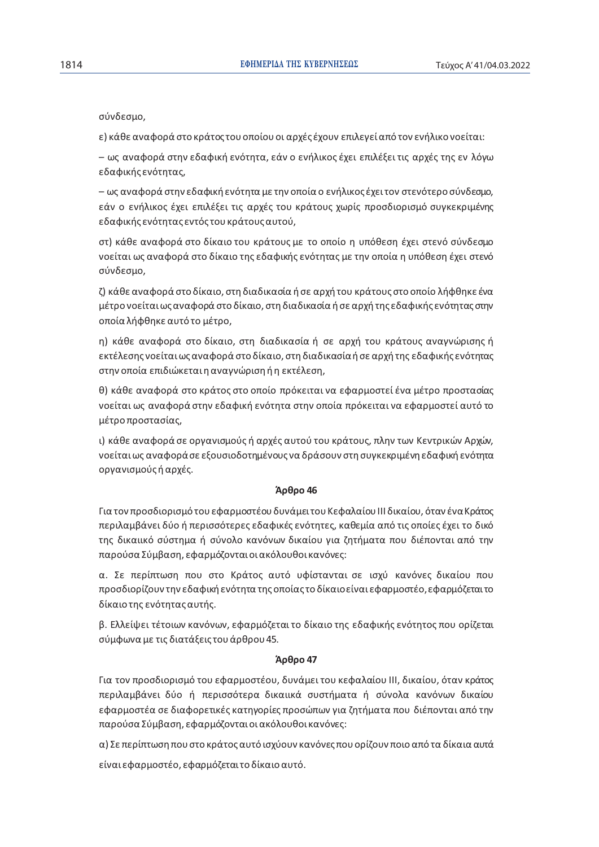ʍʑʆɷɸʍʅʉ͕

ε) κάθε αναφορά στο κράτος του οποίου οι αρχές έχουν επιλεγεί από τον ενήλικο νοείται:

— ως αναφορά στην εδαφική ενότητα, εάν ο ενήλικος έχει επιλέξει τις αρχές της εν λόγω εδαφικής ενότητας,

– ως αναφορά στην εδαφική ενότητα με την οποία ο ενήλικος έχει τον στενότερο σύνδεσμο, εάν ο ενήλικος έχει επιλέξει τις αρχές του κράτους χωρίς προσδιορισμό συγκεκριμένης εδαφικής ενότητας εντός του κράτους αυτού,

στ) κάθε αναφορά στο δίκαιο του κράτους με το οποίο η υπόθεση έχει στενό σύνδεσμο νοείται ως αναφορά στο δίκαιο της εδαφικής ενότητας με την οποία η υπόθεση έχει στενό ʍʑʆɷɸʍʅʉ͕

ζ) κάθε αναφορά στο δίκαιο, στη διαδικασία ή σε αρχή του κράτους στο οποίο λήφθηκε ένα μέτρο νοείται ως αναφορά στο δίκαιο, στη διαδικασία ή σε αρχή της εδαφικής ενότητας στην oποία λήφθηκε αυτό το μέτρο,

η) κάθε αναφορά στο δίκαιο, στη διαδικασία ή σε αρχή του κράτους αναγνώρισης ή εκτέλεσης νοείται ως αναφορά στο δίκαιο, στη διαδικασία ή σε αρχή της εδαφικής ενότητας στην οποία επιδιώκεται η αναγνώριση ή η εκτέλεση,

θ) κάθε αναφορά στο κράτος στο οποίο πρόκειται να εφαρμοστεί ένα μέτρο προστασίας νοείται ως αναφορά στην εδαφική ενότητα στην οποία πρόκειται να εφαρμοστεί αυτό το μέτρο προστασίας,

ι) κάθε αναφορά σε οργανισμούς ή αρχές αυτού του κράτους, πλην των Κεντρικών Αρχών, νοείται ως αναφορά σε εξουσιοδοτημένους να δράσουν στη συγκεκριμένη εδαφική ενότητα οργανισμούς ή αρχές.

# $A$ ρθρο 46

Για τον προσδιορισμό του εφαρμοστέου δυνάμει του Κεφαλαίου ΙΙΙ δικαίου, όταν ένα Κράτος περιλαμβάνει δύο ή περισσότερες εδαφικές ενότητες, καθεμία από τις οποίες έχει το δικό της δικαιικό σύστημα ή σύνολο κανόνων δικαίου για ζητήματα που διέπονται από την παρούσα Σύμβαση, εφαρμόζονται οι ακόλουθοι κανόνες:

α. Σε περίπτωση που στο Κράτος αυτό υφίστανται σε ισχύ κανόνες δικαίου που προσδιορίζουν την εδαφική ενότητα της οποίας το δίκαιο είναι εφαρμοστέο, εφαρμόζεται το δίκαιο της ενότητας αυτής.

β. Ελλείψει τέτοιων κανόνων, εφαρμόζεται το δίκαιο της εδαφικής ενότητος που ορίζεται σύμφωνα με τις διατάξεις του άρθρου 45.

# $$

Για τον προσδιορισμό του εφαρμοστέου, δυνάμει του κεφαλαίου ΙΙΙ, δικαίου, όταν κράτος περιλαμβάνει δύο ή περισσότερα δικαιικά συστήματα ή σύνολα κανόνων δικαίου εφαρμοστέα σε διαφορετικές κατηγορίες προσώπων για ζητήματα που διέπονται από την παρούσα Σύμβαση, εφαρμόζονται οι ακόλουθοι κανόνες:

α) Σε περίπτωση που στο κράτος αυτό ισχύουν κανόνες που ορίζουν ποιο από τα δίκαια αυτά είναι εφαρμοστέο, εφαρμόζεται το δίκαιο αυτό.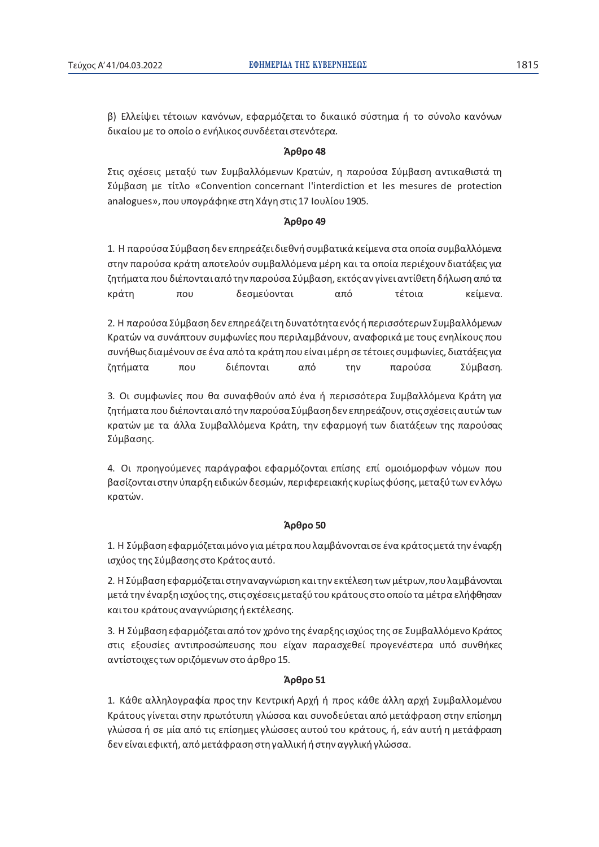β) Ελλείψει τέτοιων κανόνων, εφαρμόζεται το δικαιικό σύστημα ή το σύνολο κανόνων δικαίου με το οποίο ο ενήλικος συνδέεται στενότερα.

# $$

Στις σχέσεις μεταξύ των Συμβαλλόμενων Κρατών, η παρούσα Σύμβαση αντικαθιστά τη ɇʑʅɴɲʍɻ ʅɸ ʏʀʏʄʉ ͨConvention concernant lΖinterdiction et les mesures de protection analogues», που υπογράφηκε στη Χάγη στις 17 Ιουλίου 1905.

# $$

1. Η παρούσα Σύμβαση δεν επηρεάζει διεθνή συμβατικά κείμενα στα οποία συμβαλλόμενα στην παρούσα κράτη αποτελούν συμβαλλόμενα μέρη και τα οποία περιέχουν διατάξεις για ζητήματα που διέπονται από την παρούσα Σύμβαση, εκτός αν γίνει αντίθετη δήλωση από τα κράτη που δεσμεύονται από τέτοια κείμενα.

2. Η παρούσα Σύμβαση δεν επηρεάζει τη δυνατότητα ενός ή περισσότερων Συμβαλλόμενων Kρατών να συνάπτουν συμφωνίες που περιλαμβάνουν, αναφορικά με τους ενηλίκους που συνήθως διαμένουν σε ένα από τα κράτη που είναι μέρη σε τέτοιες συμφωνίες, διατάξεις για ζητήματα που διέπονται από την παρούσα Σύμβαση.

3. Οι συμφωνίες που θα συναφθούν από ένα ή περισσότερα Συμβαλλόμενα Κράτη για ζητήματα που διέπονται από την παρούσα Σύμβαση δεν επηρεάζουν, στις σχέσεις αυτών των κρατών με τα άλλα Συμβαλλόμενα Κράτη, την εφαρμογή των διατάξεων της παρούσας Σύμβασης.

4. Οι προηγούμενες παράγραφοι εφαρμόζονται επίσης επί ομοιόμορφων νόμων που βασίζονται στην ύπαρξη ειδικών δεσμών, περιφερειακής κυρίως φύσης, μεταξύ των εν λόγω κρατών.

# $$

1. Η Σύμβαση εφαρμόζεται μόνο για μέτρα που λαμβάνονται σε ένα κράτος μετά την έναρξη ισχύος της Σύμβασης στο Κράτος αυτό.

2. Η Σύμβαση εφαρμόζεται στην αναγνώριση και την εκτέλεση των μέτρων, που λαμβάνονται μετά την έναρξη ισχύος της, στις σχέσεις μεταξύ του κράτους στο οποίο τα μέτρα ελήφθησαν και του κράτους αναγνώρισης ή εκτέλεσης.

3. Η Σύμβαση εφαρμόζεται από τον χρόνο της έναρξης ισχύος της σε Συμβαλλόμενο Κράτος στις εξουσίες αντιπροσώπευσης που είχαν παρασχεθεί προγενέστερα υπό συνθήκες αντίστοιχες των οριζόμενων στο άρθρο 15.

# $$

1. Κάθε αλληλογραφία προς την Κεντρική Αρχή ή προς κάθε άλλη αρχή Συμβαλλομένου Κράτους γίνεται στην πρωτότυπη γλώσσα και συνοδεύεται από μετάφραση στην επίσημη γλώσσα ή σε μία από τις επίσημες γλώσσες αυτού του κράτους, ή, εάν αυτή η μετάφραση δεν είναι εφικτή, από μετάφραση στη γαλλική ή στην αγγλική γλώσσα.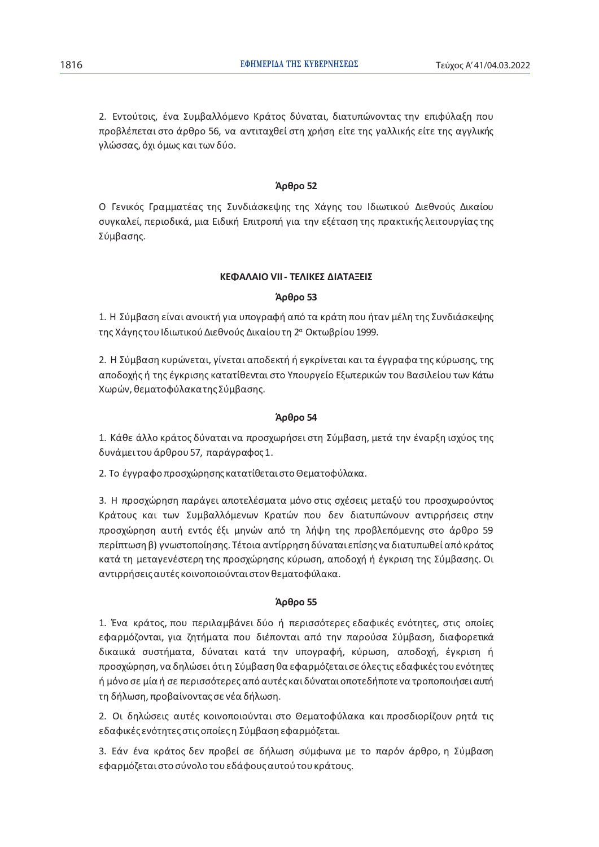2. Εντούτοις, ένα Συμβαλλόμενο Κράτος δύναται, διατυπώνοντας την επιφύλαξη που προβλέπεται στο άρθρο 56, να αντιταχθεί στη χρήση είτε της γαλλικής είτε της αγγλικής γλώσσας, όχι όμως και των δύο.

# $$

Ο Γενικός Γραμματέας της Συνδιάσκεψης της Χάγης του Ιδιωτικού Διεθνούς Δικαίου συγκαλεί, περιοδικά, μια Ειδική Επιτροπή για την εξέταση της πρακτικής λειτουργίας της Σύμβασης.

# **ȾȵɌȰȿȰȻɃs//-ɈȵȿȻȾȵɇȴȻȰɈȰɂȵȻɇ**

# $$

1. Η Σύμβαση είναι ανοικτή για υπογραφή από τα κράτη που ήταν μέλη της Συνδιάσκεψης της Χάγης του Ιδιωτικού Διεθνούς Δικαίου τη 2<sup>α</sup> Οκτωβρίου 1999.

2. Η Σύμβαση κυρώνεται, γίνεται αποδεκτή ή εγκρίνεται και τα έγγραφα της κύρωσης, της αποδοχής ή της έγκρισης κατατίθενται στο Υπουργείο Εξωτερικών του Βασιλείου των Κάτω Χωρών, θεματοφύλακατης Σύμβασης.

# $$

1. Κάθε άλλο κράτος δύναται να προσχωρήσει στη Σύμβαση, μετά την έναρξη ισχύος της δυνάμει του άρθρου 57, παράγραφος 1.

2. Το έγγραφο προσχώρησης κατατίθεται στο Θεματοφύλακα.

3. Η προσχώρηση παράγει αποτελέσματα μόνο στις σχέσεις μεταξύ του προσχωρούντος Κράτους και των Συμβαλλόμενων Κρατών που δεν διατυπώνουν αντιρρήσεις στην προσχώρηση αυτή εντός έξι μηνών από τη λήψη της προβλεπόμενης στο άρθρο 59 περίπτωση β) γνωστοποίησης. Τέτοια αντίρρηση δύναται επίσης να διατυπωθεί από κράτος κατά τη μεταγενέστερη της προσχώρησης κύρωση, αποδοχή ή έγκριση της Σύμβασης. Οι αντιρρήσεις αυτές κοινοποιούνται στον θεματοφύλακα.

# $$

1. Ένα κράτος που περιλαμβάνει δύο ή περισσότερες εδαφικές ενότητες, στις οποίες εφαρμόζονται, για ζητήματα που διέπονται από την παρούσα Σύμβαση, διαφορετικά δικαιικά συστήματα, δύναται κατά την υπογραφή, κύρωση, αποδοχή, έγκριση ή προσχώρηση, να δηλώσει ότι η Σύμβαση θα εφαρμόζεται σε όλες τις εδαφικές του ενότητες ή μόνο σε μία ή σε περισσότερες από αυτές και δύναται οποτεδήποτε να τροποποιήσει αυτή τη δήλωση, προβαίνοντας σε νέα δήλωση.

2. Οι δηλώσεις αυτές κοινοποιούνται στο Θεματοφύλακα και προσδιορίζουν ρητά τις εδαφικές ενότητες στις οποίες η Σύμβαση εφαρμόζεται.

3. Εάν ένα κράτος δεν προβεί σε δήλωση σύμφωνα με το παρόν άρθρο, η Σύμβαση εφαρμόζεται στο σύνολο του εδάφους αυτού του κράτους.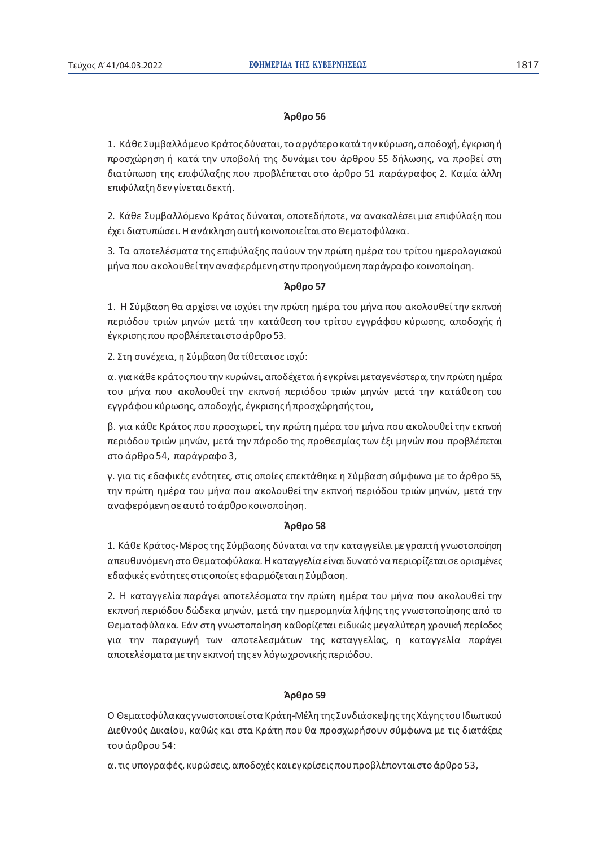# $$

1. Κάθε Συμβαλλόμενο Κράτος δύναται, το αργότερο κατά την κύρωση, αποδοχή, έγκριση ή προσχώρηση ή κατά την υποβολή της δυνάμει του άρθρου 55 δήλωσης, να προβεί στη διατύπωση της επιφύλαξης που προβλέπεται στο άρθρο 51 παράγραφος 2. Καμία άλλη επιφύλαξη δεν γίνεται δεκτή.

2. Κάθε Συμβαλλόμενο Κράτος δύναται, οποτεδήποτε, να ανακαλέσει μια επιφύλαξη που έχει διατυπώσει. Η ανάκληση αυτή κοινοποιείται στο Θεματοφύλακα.

3. Τα αποτελέσματα της επιφύλαξης παύουν την πρώτη ημέρα του τρίτου ημερολονιακού μήνα που ακολουθεί την αναφερόμενη στην προηγούμενη παράγραφο κοινοποίηση.

# $$

1. Η Σύμβαση θα αρχίσει να ισχύει την πρώτη ημέρα του μήνα που ακολουθεί την εκπνοή περιόδου τριών μηνών μετά την κατάθεση του τρίτου εγγράφου κύρωσης, αποδοχής ή έγκρισης που προβλέπεται στο άρθρο 53.

2. Στη συνέχεια, η Σύμβαση θα τίθεται σε ισχύ:

α. για κάθε κράτος που την κυρώνει, αποδέχεται ή εγκρίνει μεταγενέστερα, την πρώτη ημέρα του μήνα που ακολουθεί την εκπνοή περιόδου τριών μηνών μετά την κατάθεση του εννράφου κύρωσης, αποδοχής, ένκρισης ή προσχώρησής του.

β. για κάθε Κράτος που προσχωρεί, την πρώτη ημέρα του μήνα που ακολουθεί την εκπνοή περιόδου τριών μηνών, μετά την πάροδο της προθεσμίας των έξι μηνών που προβλέπεται στο άρθρο 54, παράγραφο 3,

γ. για τις εδαφικές ενότητες, στις οποίες επεκτάθηκε η Σύμβαση σύμφωνα με το άρθρο 55, την πρώτη ημέρα του μήνα που ακολουθεί την εκπνοή περιόδου τριών μηνών, μετά την αναφερόμενη σε αυτό το άρθρο κοινοποίηση.

# $$

1. Κάθε Κράτος-Μέρος της Σύμβασης δύναται να την καταγγείλει με γραπτή γνωστοποίηση απευθυνόμενη στο Θεματοφύλακα. Η καταγγελία είναι δυνατό να περιορίζεται σε ορισμένες εδαφικές ενότητες στις οποίες εφαρμόζεται η Σύμβαση.

2. Η καταγγελία παράγει αποτελέσματα την πρώτη ημέρα του μήνα που ακολουθεί την εκπνοή περιόδου δώδεκα μηνών, μετά την ημερομηνία λήψης της γνωστοποίησης από το Θεματοφύλακα. Εάν στη γνωστοποίηση καθορίζεται ειδικώς μεγαλύτερη χρονική περίοδος για την παραγωγή των αποτελεσμάτων της καταγγελίας, η καταγγελία παράγει αποτελέσματα με την εκπνοή της εν λόγω χρονικής περιόδου.

# $$

Ο Θεματοφύλακας γνωστοποιεί στα Κράτη-Μέλη της Συνδιάσκεψης της Χάγης του Ιδιωτικού Διεθνούς Δικαίου, καθώς και στα Κράτη που θα προσχωρήσουν σύμφωνα με τις διατάξεις του άρθρου 54:

α, τις υπονραφές, κυρώσεις, αποδοχές και ενκρίσεις που προβλέπονται στο άρθρο 53,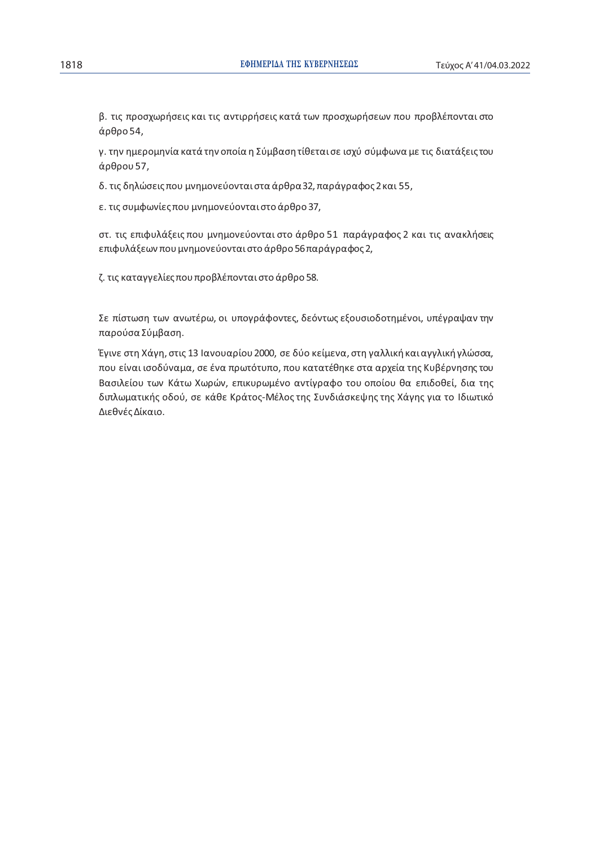β. τις προσχωρήσεις και τις αντιρρήσεις κατά των προσχωρήσεων που προβλέπονται στο άρθρο 54,

γ. την ημερομηνία κατά την οποία η Σύμβαση τίθεται σε ισχύ σύμφωνα με τις διατάξεις του άρθρου 57,

δ. τις δηλώσεις που μνημονεύονται στα άρθρα 32, παράγραφος 2 και 55,

ε. τις συμφωνίες που μνημονεύονται στο άρθρο 37,

στ. τις επιφυλάξεις που μνημονεύονται στο άρθρο 51 παράγραφος 2 και τις ανακλήσεις επιφυλάξεων που μνημονεύονται στο άρθρο 56 παράγραφος 2,

ζ. τις καταγγελίες που προβλέπονται στο άρθρο 58.

Σε πίστωση των ανωτέρω, οι υπογράφοντες, δεόντως εξουσιοδοτημένοι, υπέγραψαν την παρούσα Σύμβαση.

Έγινε στη Χάγη, στις 13 Ιανουαρίου 2000, σε δύο κείμενα, στη γαλλική και αγγλική γλώσσα, που είναι ισοδύναμα, σε ένα πρωτότυπο, που κατατέθηκε στα αρχεία της Κυβέρνησης του Bασιλείου των Κάτω Χωρών, επικυρωμένο αντίγραφο του οποίου θα επιδοθεί, δια της διπλωματικής οδού, σε κάθε Κράτος-Μέλος της Συνδιάσκεψης της Χάγης για το Ιδιωτικό Διεθνές Δίκαιο.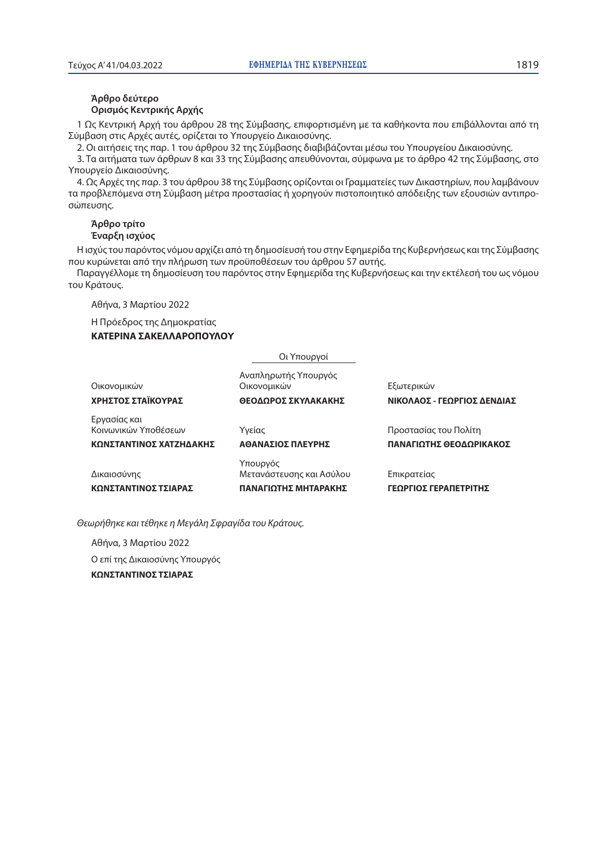# **Άρθρο δεύτερο Ορισμός Κεντρικής Αρχής**

1 Ως Κεντρική Αρχή του άρθρου 28 της Σύμβασης, επιφορτισμένη με τα καθήκοντα που επιβάλλονται από τη Σύμβαση στις Αρχές αυτές, ορίζεται το Υπουργείο Δικαιοσύνης.

2. Οι αιτήσεις της παρ. 1 του άρθρου 32 της Σύμβασης διαβιβάζονται μέσω του Υπουργείου Δικαιοσύνης.

3. Τα αιτήματα των άρθρων 8 και 33 της Σύμβασης απευθύνονται, σύμφωνα με το άρθρο 42 της Σύμβασης, στο Υπουργείο Δικαιοσύνης.

4. Ως Αρχές της παρ. 3 του άρθρου 38 της Σύμβασης ορίζονται οι Γραμματείες των Δικαστηρίων, που λαμβάνουν τα προβλεπόμενα στη Σύμβαση μέτρα προστασίας ή χορηγούν πιστοποιητικό απόδειξης των εξουσιών αντιπροσώπευσης.

# **Άρθρο τρίτο Έναρξη ισχύος**

Η ισχύς του παρόντος νόμου αρχίζει από τη δημοσίευσή του στην Εφημερίδα της Κυβερνήσεως και της Σύμβασης που κυρώνεται από την πλήρωση των προϋποθέσεων του άρθρου 57 αυτής.

Παραγγέλλομε τη δημοσίευση του παρόντος στην Εφημερίδα της Κυβερνήσεως και την εκτέλεσή του ως νόμου του Κράτους.

Αθήνα, 3 Μαρτίου 2022

Η Πρόεδρος της Δημοκρατίας **ΚΑΤΕΡΙΝΑ ΣΑΚΕΛΛΑΡΟΠΟΥΛΟΥ**

# Οι Υπουργοί

| Οικονομικών<br>ΧΡΗΣΤΟΣ ΣΤΑΪΚΟΥΡΑΣ                               | Αναπληρωτής Υπουργός<br>Οικονομικών<br>ΘΕΟΔΩΡΟΣ ΣΚΥΛΑΚΑΚΗΣ   | Εξωτερικών<br>ΝΙΚΟΛΑΟΣ - ΓΕΩΡΓΙΟΣ ΔΕΝΔΙΑΣ        |
|-----------------------------------------------------------------|--------------------------------------------------------------|--------------------------------------------------|
| Εργασίας και<br>Κοινωνικών Υποθέσεων<br>ΚΩΝΣΤΑΝΤΙΝΟΣ ΧΑΤΖΗΔΑΚΗΣ | Υνείας<br>ΑΘΑΝΑΣΙΟΣ ΠΛΕΥΡΗΣ                                  | Προστασίας του Πολίτη<br>ΠΑΝΑΓΙΩΤΗΣ ΘΕΟΔΩΡΙΚΑΚΟΣ |
| Δικαιοσύνης<br>ΚΩΝΣΤΑΝΤΙΝΟΣ ΤΣΙΑΡΑΣ                             | Υπουργός<br>Μετανάστευσης και Ασύλου<br>ΠΑΝΑΓΙΩΤΗΣ ΜΗΤΑΡΑΚΗΣ | Επικρατείας<br>ΓΕΩΡΓΙΟΣ ΓΕΡΑΠΕΤΡΙΤΗΣ             |

Θεωρήθηκε και τέθηκε η Μεγάλη Σφραγίδα του Κράτους.

Αθήνα, 3 Μαρτίου 2022 Ο επί της Δικαιοσύνης Υπουργός **ΚΩΝΣΤΑΝΤΙΝΟΣ ΤΣΙΑΡΑΣ**